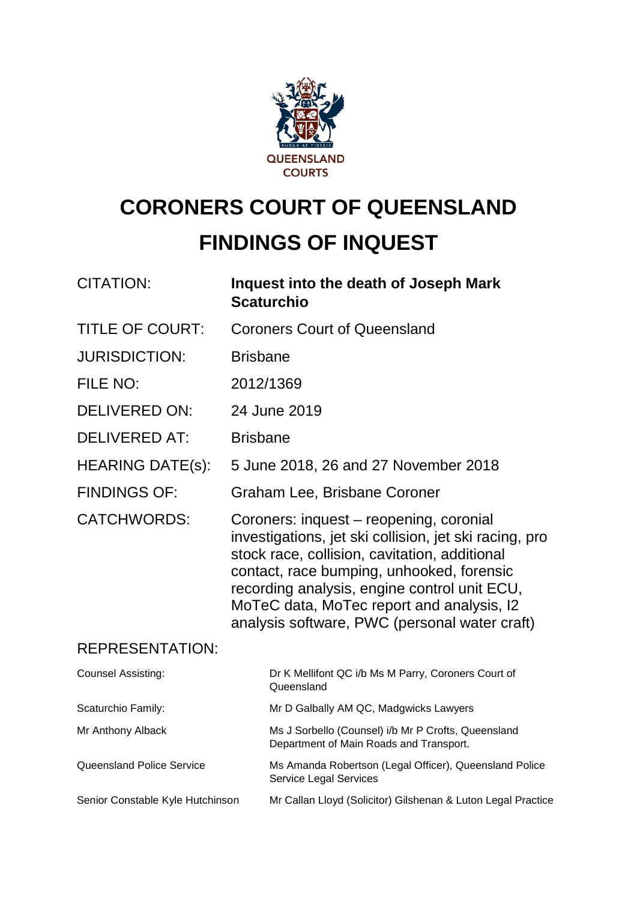

# **CORONERS COURT OF QUEENSLAND FINDINGS OF INQUEST**

| <b>CITATION:</b>                 | Inquest into the death of Joseph Mark<br><b>Scaturchio</b>                                                                                                                                                                                                                                                                                    |
|----------------------------------|-----------------------------------------------------------------------------------------------------------------------------------------------------------------------------------------------------------------------------------------------------------------------------------------------------------------------------------------------|
| <b>TITLE OF COURT:</b>           | <b>Coroners Court of Queensland</b>                                                                                                                                                                                                                                                                                                           |
| <b>JURISDICTION:</b>             | <b>Brisbane</b>                                                                                                                                                                                                                                                                                                                               |
| FILE NO:                         | 2012/1369                                                                                                                                                                                                                                                                                                                                     |
| <b>DELIVERED ON:</b>             | 24 June 2019                                                                                                                                                                                                                                                                                                                                  |
| <b>DELIVERED AT:</b>             | <b>Brisbane</b>                                                                                                                                                                                                                                                                                                                               |
| <b>HEARING DATE(s):</b>          | 5 June 2018, 26 and 27 November 2018                                                                                                                                                                                                                                                                                                          |
| <b>FINDINGS OF:</b>              | Graham Lee, Brisbane Coroner                                                                                                                                                                                                                                                                                                                  |
| <b>CATCHWORDS:</b>               | Coroners: inquest – reopening, coronial<br>investigations, jet ski collision, jet ski racing, pro<br>stock race, collision, cavitation, additional<br>contact, race bumping, unhooked, forensic<br>recording analysis, engine control unit ECU,<br>MoTeC data, MoTec report and analysis, I2<br>analysis software, PWC (personal water craft) |
| <b>REPRESENTATION:</b>           |                                                                                                                                                                                                                                                                                                                                               |
| <b>Counsel Assisting:</b>        | Dr K Mellifont QC i/b Ms M Parry, Coroners Court of<br>Queensland                                                                                                                                                                                                                                                                             |
| Scaturchio Family:               | Mr D Galbally AM QC, Madgwicks Lawyers                                                                                                                                                                                                                                                                                                        |
| Mr Anthony Alback                | Ms J Sorbello (Counsel) i/b Mr P Crofts, Queensland<br>Department of Main Roads and Transport.                                                                                                                                                                                                                                                |
| <b>Queensland Police Service</b> | Ms Amanda Robertson (Legal Officer), Queensland Police<br>Service Legal Services                                                                                                                                                                                                                                                              |
| Senior Constable Kyle Hutchinson | Mr Callan Lloyd (Solicitor) Gilshenan & Luton Legal Practice                                                                                                                                                                                                                                                                                  |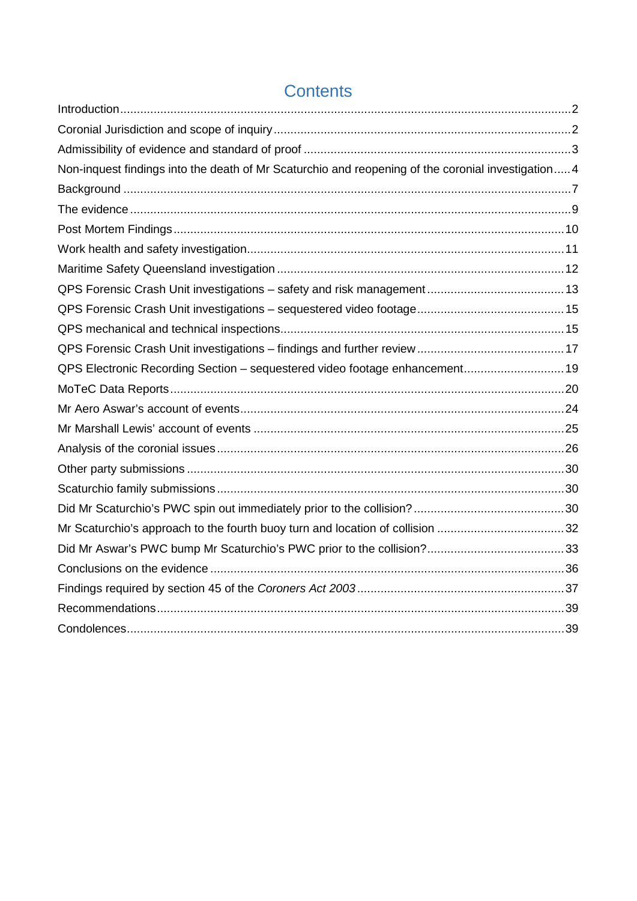| Non-inquest findings into the death of Mr Scaturchio and reopening of the coronial investigation 4 |  |
|----------------------------------------------------------------------------------------------------|--|
|                                                                                                    |  |
|                                                                                                    |  |
|                                                                                                    |  |
|                                                                                                    |  |
|                                                                                                    |  |
|                                                                                                    |  |
|                                                                                                    |  |
|                                                                                                    |  |
|                                                                                                    |  |
| QPS Electronic Recording Section - sequestered video footage enhancement 19                        |  |
|                                                                                                    |  |
|                                                                                                    |  |
|                                                                                                    |  |
|                                                                                                    |  |
|                                                                                                    |  |
|                                                                                                    |  |
|                                                                                                    |  |
| Mr Scaturchio's approach to the fourth buoy turn and location of collision 32                      |  |
|                                                                                                    |  |
|                                                                                                    |  |
|                                                                                                    |  |
|                                                                                                    |  |
|                                                                                                    |  |

## **Contents**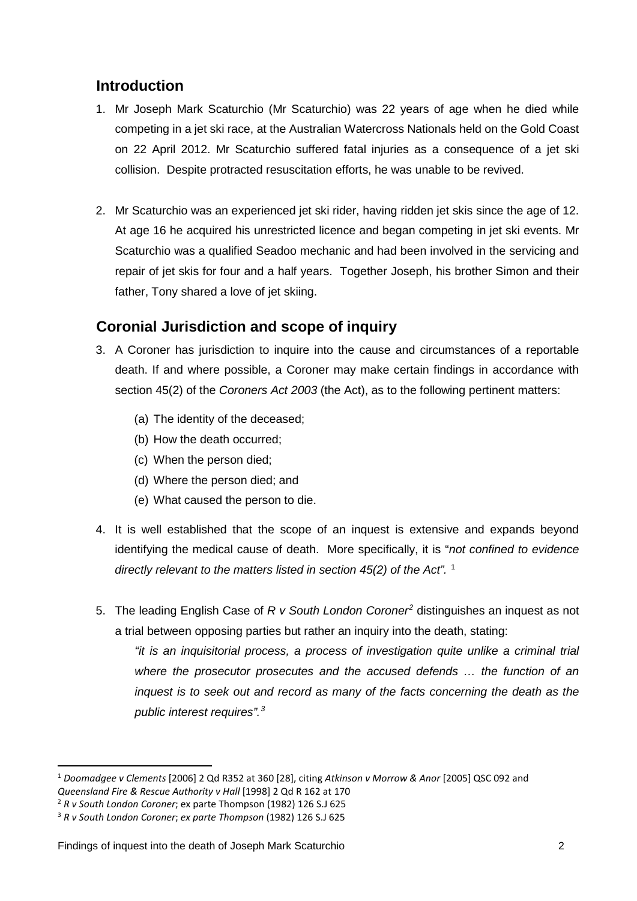## <span id="page-2-0"></span>**Introduction**

- 1. Mr Joseph Mark Scaturchio (Mr Scaturchio) was 22 years of age when he died while competing in a jet ski race, at the Australian Watercross Nationals held on the Gold Coast on 22 April 2012. Mr Scaturchio suffered fatal injuries as a consequence of a jet ski collision. Despite protracted resuscitation efforts, he was unable to be revived.
- 2. Mr Scaturchio was an experienced jet ski rider, having ridden jet skis since the age of 12. At age 16 he acquired his unrestricted licence and began competing in jet ski events. Mr Scaturchio was a qualified Seadoo mechanic and had been involved in the servicing and repair of jet skis for four and a half years. Together Joseph, his brother Simon and their father, Tony shared a love of jet skiing.

### <span id="page-2-1"></span>**Coronial Jurisdiction and scope of inquiry**

- 3. A Coroner has jurisdiction to inquire into the cause and circumstances of a reportable death. If and where possible, a Coroner may make certain findings in accordance with section 45(2) of the *Coroners Act 2003* (the Act), as to the following pertinent matters:
	- (a) The identity of the deceased;
	- (b) How the death occurred;
	- (c) When the person died;
	- (d) Where the person died; and
	- (e) What caused the person to die.
- 4. It is well established that the scope of an inquest is extensive and expands beyond identifying the medical cause of death. More specifically, it is "*not confined to evidence directly relevant to the matters listed in section 45(2) of the Act".* [1](#page-2-2)
- 5. The leading English Case of *R v South London Coroner[2](#page-2-3)* distinguishes an inquest as not a trial between opposing parties but rather an inquiry into the death, stating:

*"it is an inquisitorial process, a process of investigation quite unlike a criminal trial where the prosecutor prosecutes and the accused defends … the function of an inquest is to seek out and record as many of the facts concerning the death as the public interest requires".[3](#page-2-4)*

<span id="page-2-2"></span><sup>1</sup> *Doomadgee v Clements* [2006] 2 Qd R352 at 360 [28], citing *Atkinson v Morrow & Anor* [2005] QSC 092 and *Queensland Fire & Rescue Authority v Hall* [1998] 2 Qd R 162 at 170

<span id="page-2-3"></span><sup>2</sup> *R v South London Coroner*; ex parte Thompson (1982) 126 S.J 625

<span id="page-2-4"></span><sup>3</sup> *R v South London Coroner*; *ex parte Thompson* (1982) 126 S.J 625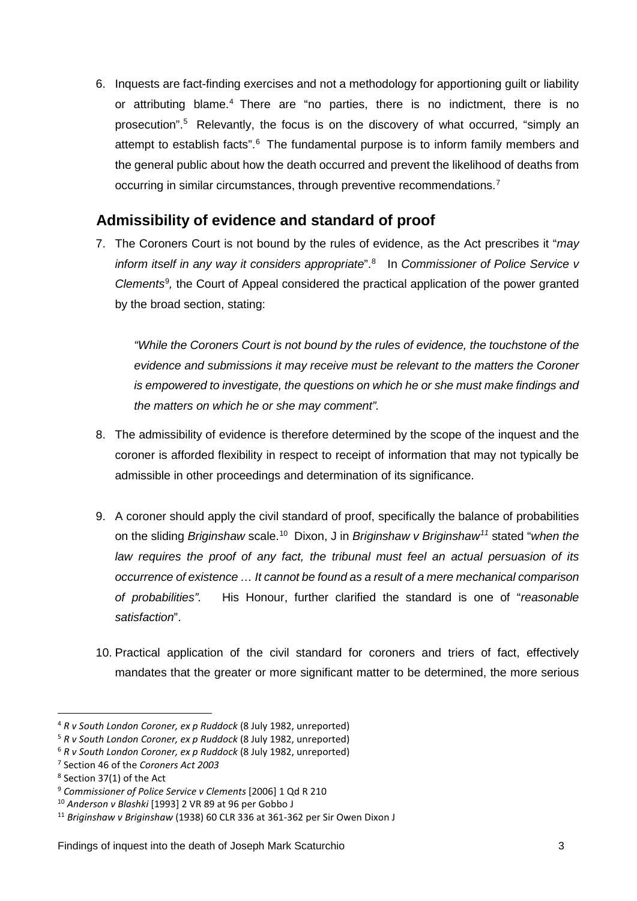6. Inquests are fact-finding exercises and not a methodology for apportioning guilt or liability or attributing blame.[4](#page-3-1) There are "no parties, there is no indictment, there is no prosecution". [5](#page-3-2) Relevantly, the focus is on the discovery of what occurred, "simply an attempt to establish facts".<sup>[6](#page-3-3)</sup> The fundamental purpose is to inform family members and the general public about how the death occurred and prevent the likelihood of deaths from occurring in similar circumstances, through preventive recommendations.[7](#page-3-4)

## <span id="page-3-0"></span>**Admissibility of evidence and standard of proof**

7. The Coroners Court is not bound by the rules of evidence, as the Act prescribes it "*may inform itself in any way it considers appropriate*".[8](#page-3-5) In *Commissioner of Police Service v*  Clements<sup>[9](#page-3-6)</sup>, the Court of Appeal considered the practical application of the power granted by the broad section, stating:

*"While the Coroners Court is not bound by the rules of evidence, the touchstone of the evidence and submissions it may receive must be relevant to the matters the Coroner is empowered to investigate, the questions on which he or she must make findings and the matters on which he or she may comment".*

- 8. The admissibility of evidence is therefore determined by the scope of the inquest and the coroner is afforded flexibility in respect to receipt of information that may not typically be admissible in other proceedings and determination of its significance.
- 9. A coroner should apply the civil standard of proof, specifically the balance of probabilities on the sliding *Briginshaw* scale.[10](#page-3-7) Dixon, J in *Briginshaw v Briginshaw[11](#page-3-8)* stated "*when the law requires the proof of any fact, the tribunal must feel an actual persuasion of its occurrence of existence … It cannot be found as a result of a mere mechanical comparison of probabilities".* His Honour, further clarified the standard is one of "*reasonable satisfaction*".
- 10. Practical application of the civil standard for coroners and triers of fact, effectively mandates that the greater or more significant matter to be determined, the more serious

<u>.</u>

<span id="page-3-1"></span><sup>4</sup> *R v South London Coroner, ex p Ruddock* (8 July 1982, unreported)

<span id="page-3-2"></span><sup>5</sup> *R v South London Coroner, ex p Ruddock* (8 July 1982, unreported)

<span id="page-3-3"></span><sup>6</sup> *R v South London Coroner, ex p Ruddock* (8 July 1982, unreported)

<span id="page-3-4"></span><sup>7</sup> Section 46 of the *Coroners Act 2003*

<span id="page-3-5"></span><sup>8</sup> Section 37(1) of the Act

<span id="page-3-6"></span><sup>9</sup> *Commissioner of Police Service v Clements* [2006] 1 Qd R 210

<span id="page-3-7"></span><sup>10</sup> *Anderson v Blashki* [1993] 2 VR 89 at 96 per Gobbo J

<span id="page-3-8"></span><sup>11</sup> *Briginshaw v Briginshaw* (1938) 60 CLR 336 at 361-362 per Sir Owen Dixon J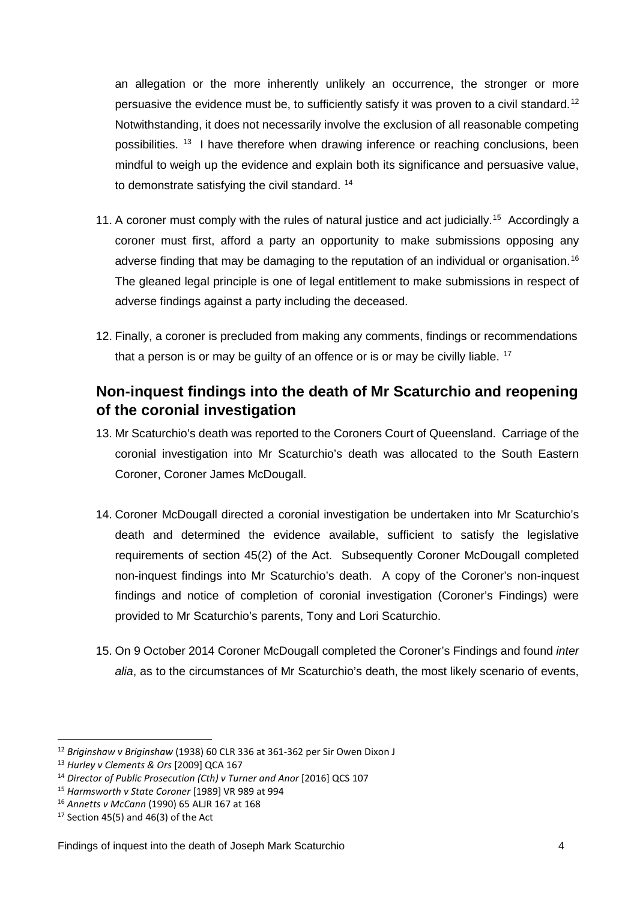an allegation or the more inherently unlikely an occurrence, the stronger or more persuasive the evidence must be, to sufficiently satisfy it was proven to a civil standard.<sup>[12](#page-4-1)</sup> Notwithstanding, it does not necessarily involve the exclusion of all reasonable competing possibilities. <sup>[13](#page-4-2)</sup> I have therefore when drawing inference or reaching conclusions, been mindful to weigh up the evidence and explain both its significance and persuasive value, to demonstrate satisfying the civil standard.<sup>[14](#page-4-3)</sup>

- 11. A coroner must comply with the rules of natural justice and act judicially.<sup>[15](#page-4-4)</sup> Accordingly a coroner must first, afford a party an opportunity to make submissions opposing any adverse finding that may be damaging to the reputation of an individual or organisation.<sup>[16](#page-4-5)</sup> The gleaned legal principle is one of legal entitlement to make submissions in respect of adverse findings against a party including the deceased.
- 12. Finally, a coroner is precluded from making any comments, findings or recommendations that a person is or may be guilty of an offence or is or may be civilly liable.  $17$

## <span id="page-4-0"></span>**Non-inquest findings into the death of Mr Scaturchio and reopening of the coronial investigation**

- 13. Mr Scaturchio's death was reported to the Coroners Court of Queensland. Carriage of the coronial investigation into Mr Scaturchio's death was allocated to the South Eastern Coroner, Coroner James McDougall.
- 14. Coroner McDougall directed a coronial investigation be undertaken into Mr Scaturchio's death and determined the evidence available, sufficient to satisfy the legislative requirements of section 45(2) of the Act. Subsequently Coroner McDougall completed non-inquest findings into Mr Scaturchio's death. A copy of the Coroner's non-inquest findings and notice of completion of coronial investigation (Coroner's Findings) were provided to Mr Scaturchio's parents, Tony and Lori Scaturchio.
- 15. On 9 October 2014 Coroner McDougall completed the Coroner's Findings and found *inter alia*, as to the circumstances of Mr Scaturchio's death, the most likely scenario of events,

<span id="page-4-1"></span><sup>12</sup> *Briginshaw v Briginshaw* (1938) 60 CLR 336 at 361-362 per Sir Owen Dixon J

<span id="page-4-2"></span><sup>13</sup> *Hurley v Clements & Ors* [2009] QCA 167

<span id="page-4-3"></span><sup>14</sup> *Director of Public Prosecution (Cth) v Turner and Anor* [2016] QCS 107

<span id="page-4-4"></span><sup>15</sup> *Harmsworth v State Coroner* [1989] VR 989 at 994

<span id="page-4-5"></span><sup>16</sup> *Annetts v McCann* (1990) 65 ALJR 167 at 168

<span id="page-4-6"></span> $17$  Section 45(5) and 46(3) of the Act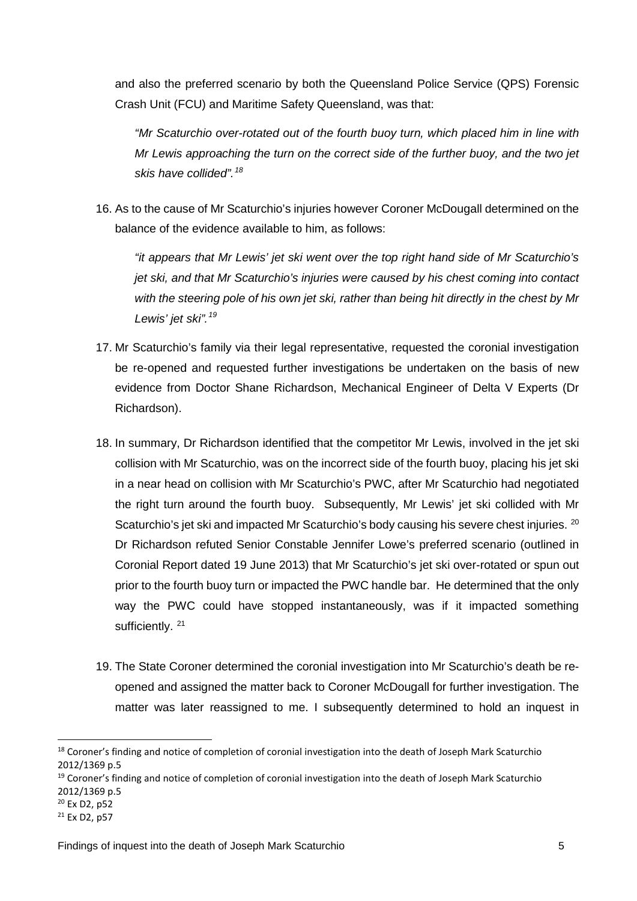and also the preferred scenario by both the Queensland Police Service (QPS) Forensic Crash Unit (FCU) and Maritime Safety Queensland, was that:

*"Mr Scaturchio over-rotated out of the fourth buoy turn, which placed him in line with Mr Lewis approaching the turn on the correct side of the further buoy, and the two jet skis have collided".[18](#page-5-0)*

16. As to the cause of Mr Scaturchio's injuries however Coroner McDougall determined on the balance of the evidence available to him, as follows:

*"it appears that Mr Lewis' jet ski went over the top right hand side of Mr Scaturchio's jet ski, and that Mr Scaturchio's injuries were caused by his chest coming into contact with the steering pole of his own jet ski, rather than being hit directly in the chest by Mr Lewis' jet ski".[19](#page-5-1)*

- 17. Mr Scaturchio's family via their legal representative, requested the coronial investigation be re-opened and requested further investigations be undertaken on the basis of new evidence from Doctor Shane Richardson, Mechanical Engineer of Delta V Experts (Dr Richardson).
- 18. In summary, Dr Richardson identified that the competitor Mr Lewis, involved in the jet ski collision with Mr Scaturchio, was on the incorrect side of the fourth buoy, placing his jet ski in a near head on collision with Mr Scaturchio's PWC, after Mr Scaturchio had negotiated the right turn around the fourth buoy. Subsequently, Mr Lewis' jet ski collided with Mr Scaturchio's jet ski and impacted Mr Scaturchio's body causing his severe chest injuries. <sup>[20](#page-5-2)</sup> Dr Richardson refuted Senior Constable Jennifer Lowe's preferred scenario (outlined in Coronial Report dated 19 June 2013) that Mr Scaturchio's jet ski over-rotated or spun out prior to the fourth buoy turn or impacted the PWC handle bar. He determined that the only way the PWC could have stopped instantaneously, was if it impacted something sufficiently.<sup>21</sup>
- 19. The State Coroner determined the coronial investigation into Mr Scaturchio's death be reopened and assigned the matter back to Coroner McDougall for further investigation. The matter was later reassigned to me. I subsequently determined to hold an inquest in

<span id="page-5-0"></span><sup>&</sup>lt;sup>18</sup> Coroner's finding and notice of completion of coronial investigation into the death of Joseph Mark Scaturchio 2012/1369 p.5

<span id="page-5-1"></span><sup>&</sup>lt;sup>19</sup> Coroner's finding and notice of completion of coronial investigation into the death of Joseph Mark Scaturchio 2012/1369 p.5

<span id="page-5-2"></span><sup>20</sup> Ex D2, p52

<span id="page-5-3"></span> $21$  Fx D<sub>2</sub>, p<sub>57</sub>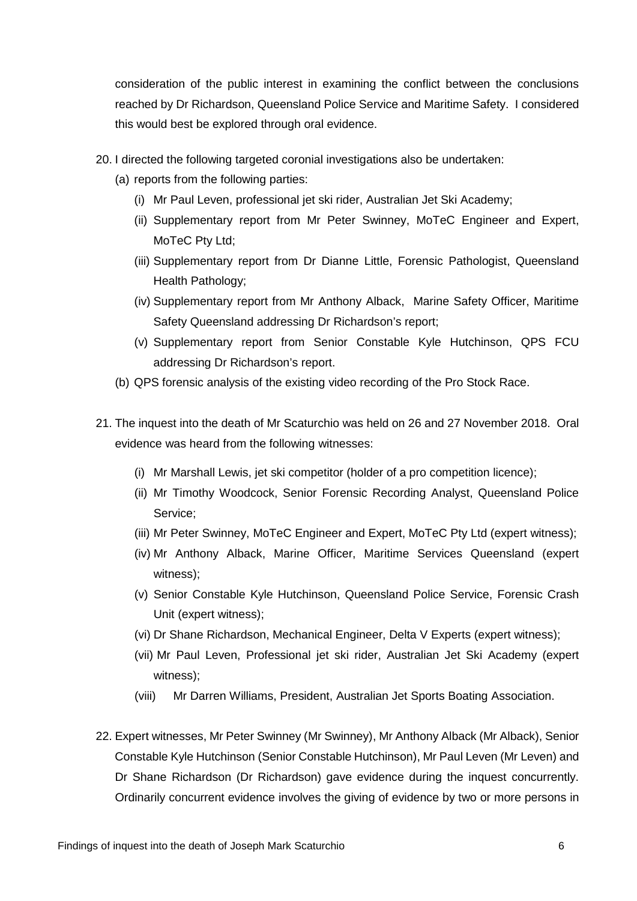consideration of the public interest in examining the conflict between the conclusions reached by Dr Richardson, Queensland Police Service and Maritime Safety. I considered this would best be explored through oral evidence.

- 20. I directed the following targeted coronial investigations also be undertaken:
	- (a) reports from the following parties:
		- (i) Mr Paul Leven, professional jet ski rider, Australian Jet Ski Academy;
		- (ii) Supplementary report from Mr Peter Swinney, MoTeC Engineer and Expert, MoTeC Pty Ltd;
		- (iii) Supplementary report from Dr Dianne Little, Forensic Pathologist, Queensland Health Pathology;
		- (iv) Supplementary report from Mr Anthony Alback, Marine Safety Officer, Maritime Safety Queensland addressing Dr Richardson's report;
		- (v) Supplementary report from Senior Constable Kyle Hutchinson, QPS FCU addressing Dr Richardson's report.
	- (b) QPS forensic analysis of the existing video recording of the Pro Stock Race.
- 21. The inquest into the death of Mr Scaturchio was held on 26 and 27 November 2018. Oral evidence was heard from the following witnesses:
	- (i) Mr Marshall Lewis, jet ski competitor (holder of a pro competition licence);
	- (ii) Mr Timothy Woodcock, Senior Forensic Recording Analyst, Queensland Police Service;
	- (iii) Mr Peter Swinney, MoTeC Engineer and Expert, MoTeC Pty Ltd (expert witness);
	- (iv) Mr Anthony Alback, Marine Officer, Maritime Services Queensland (expert witness);
	- (v) Senior Constable Kyle Hutchinson, Queensland Police Service, Forensic Crash Unit (expert witness);
	- (vi) Dr Shane Richardson, Mechanical Engineer, Delta V Experts (expert witness);
	- (vii) Mr Paul Leven, Professional jet ski rider, Australian Jet Ski Academy (expert witness);
	- (viii) Mr Darren Williams, President, Australian Jet Sports Boating Association.
- 22. Expert witnesses, Mr Peter Swinney (Mr Swinney), Mr Anthony Alback (Mr Alback), Senior Constable Kyle Hutchinson (Senior Constable Hutchinson), Mr Paul Leven (Mr Leven) and Dr Shane Richardson (Dr Richardson) gave evidence during the inquest concurrently. Ordinarily concurrent evidence involves the giving of evidence by two or more persons in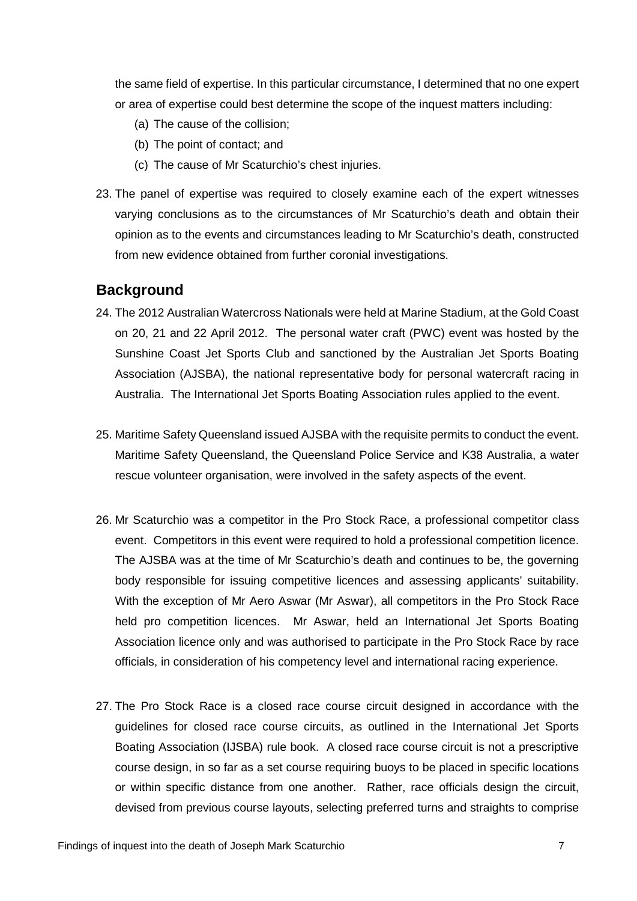the same field of expertise. In this particular circumstance, I determined that no one expert or area of expertise could best determine the scope of the inquest matters including:

- (a) The cause of the collision;
- (b) The point of contact; and
- (c) The cause of Mr Scaturchio's chest injuries.
- 23. The panel of expertise was required to closely examine each of the expert witnesses varying conclusions as to the circumstances of Mr Scaturchio's death and obtain their opinion as to the events and circumstances leading to Mr Scaturchio's death, constructed from new evidence obtained from further coronial investigations.

#### <span id="page-7-0"></span>**Background**

- 24. The 2012 Australian Watercross Nationals were held at Marine Stadium, at the Gold Coast on 20, 21 and 22 April 2012. The personal water craft (PWC) event was hosted by the Sunshine Coast Jet Sports Club and sanctioned by the Australian Jet Sports Boating Association (AJSBA), the national representative body for personal watercraft racing in Australia. The International Jet Sports Boating Association rules applied to the event.
- 25. Maritime Safety Queensland issued AJSBA with the requisite permits to conduct the event. Maritime Safety Queensland, the Queensland Police Service and K38 Australia, a water rescue volunteer organisation, were involved in the safety aspects of the event.
- 26. Mr Scaturchio was a competitor in the Pro Stock Race, a professional competitor class event. Competitors in this event were required to hold a professional competition licence. The AJSBA was at the time of Mr Scaturchio's death and continues to be, the governing body responsible for issuing competitive licences and assessing applicants' suitability. With the exception of Mr Aero Aswar (Mr Aswar), all competitors in the Pro Stock Race held pro competition licences. Mr Aswar, held an International Jet Sports Boating Association licence only and was authorised to participate in the Pro Stock Race by race officials, in consideration of his competency level and international racing experience.
- 27. The Pro Stock Race is a closed race course circuit designed in accordance with the guidelines for closed race course circuits, as outlined in the International Jet Sports Boating Association (IJSBA) rule book. A closed race course circuit is not a prescriptive course design, in so far as a set course requiring buoys to be placed in specific locations or within specific distance from one another. Rather, race officials design the circuit, devised from previous course layouts, selecting preferred turns and straights to comprise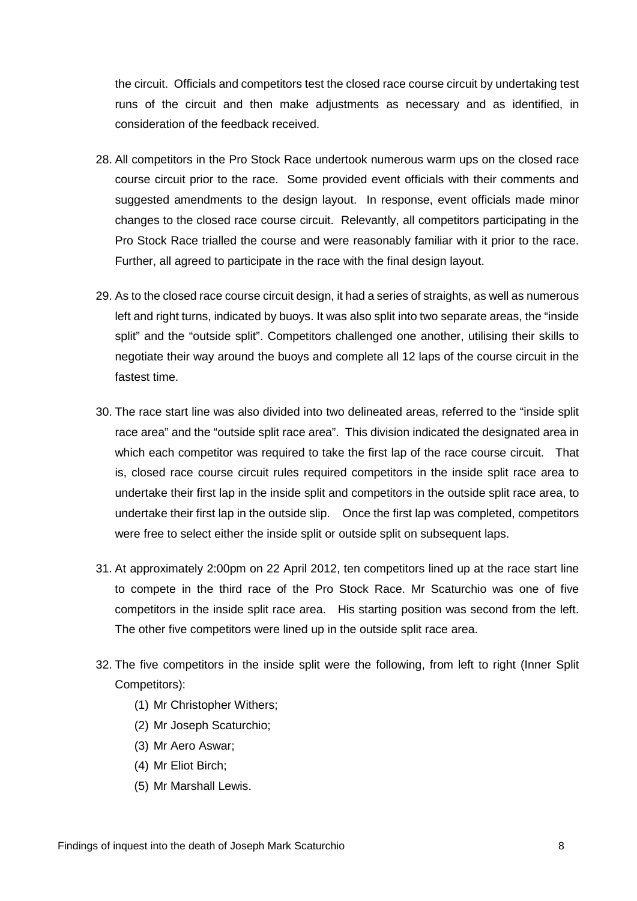the circuit. Officials and competitors test the closed race course circuit by undertaking test runs of the circuit and then make adjustments as necessary and as identified, in consideration of the feedback received.

- 28. All competitors in the Pro Stock Race undertook numerous warm ups on the closed race course circuit prior to the race. Some provided event officials with their comments and suggested amendments to the design layout. In response, event officials made minor changes to the closed race course circuit. Relevantly, all competitors participating in the Pro Stock Race trialled the course and were reasonably familiar with it prior to the race. Further, all agreed to participate in the race with the final design layout.
- 29. As to the closed race course circuit design, it had a series of straights, as well as numerous left and right turns, indicated by buoys. It was also split into two separate areas, the "inside split" and the "outside split". Competitors challenged one another, utilising their skills to negotiate their way around the buoys and complete all 12 laps of the course circuit in the fastest time.
- 30. The race start line was also divided into two delineated areas, referred to the "inside split race area" and the "outside split race area". This division indicated the designated area in which each competitor was required to take the first lap of the race course circuit. That is, closed race course circuit rules required competitors in the inside split race area to undertake their first lap in the inside split and competitors in the outside split race area, to undertake their first lap in the outside slip. Once the first lap was completed, competitors were free to select either the inside split or outside split on subsequent laps.
- 31. At approximately 2:00pm on 22 April 2012, ten competitors lined up at the race start line to compete in the third race of the Pro Stock Race. Mr Scaturchio was one of five competitors in the inside split race area. His starting position was second from the left. The other five competitors were lined up in the outside split race area.
- 32. The five competitors in the inside split were the following, from left to right (Inner Split Competitors):
	- (1) Mr Christopher Withers;
	- (2) Mr Joseph Scaturchio;
	- (3) Mr Aero Aswar;
	- (4) Mr Eliot Birch;
	- (5) Mr Marshall Lewis.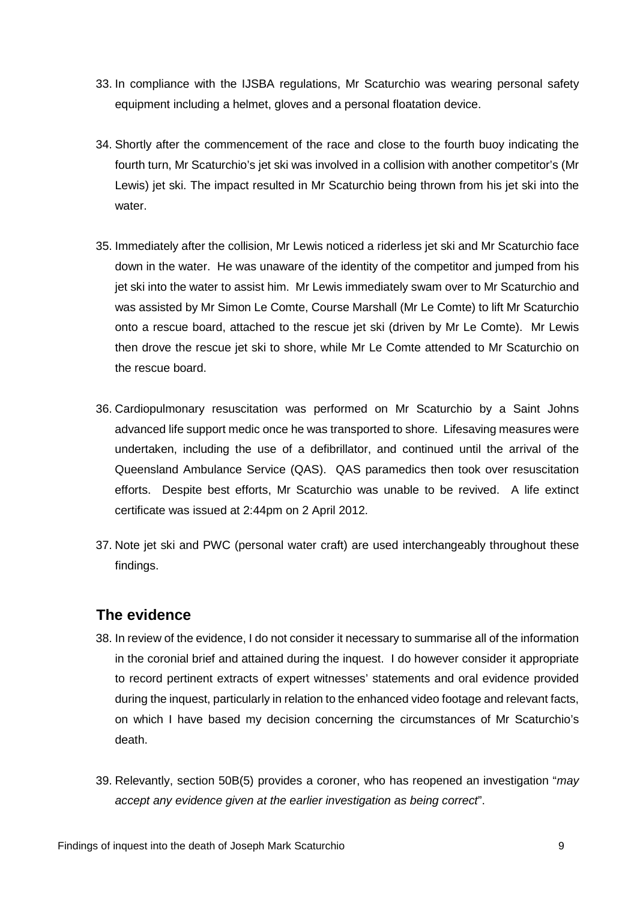- 33. In compliance with the IJSBA regulations, Mr Scaturchio was wearing personal safety equipment including a helmet, gloves and a personal floatation device.
- 34. Shortly after the commencement of the race and close to the fourth buoy indicating the fourth turn, Mr Scaturchio's jet ski was involved in a collision with another competitor's (Mr Lewis) jet ski. The impact resulted in Mr Scaturchio being thrown from his jet ski into the water.
- 35. Immediately after the collision, Mr Lewis noticed a riderless jet ski and Mr Scaturchio face down in the water. He was unaware of the identity of the competitor and jumped from his jet ski into the water to assist him. Mr Lewis immediately swam over to Mr Scaturchio and was assisted by Mr Simon Le Comte, Course Marshall (Mr Le Comte) to lift Mr Scaturchio onto a rescue board, attached to the rescue jet ski (driven by Mr Le Comte). Mr Lewis then drove the rescue jet ski to shore, while Mr Le Comte attended to Mr Scaturchio on the rescue board.
- 36. Cardiopulmonary resuscitation was performed on Mr Scaturchio by a Saint Johns advanced life support medic once he was transported to shore. Lifesaving measures were undertaken, including the use of a defibrillator, and continued until the arrival of the Queensland Ambulance Service (QAS). QAS paramedics then took over resuscitation efforts. Despite best efforts, Mr Scaturchio was unable to be revived. A life extinct certificate was issued at 2:44pm on 2 April 2012.
- 37. Note jet ski and PWC (personal water craft) are used interchangeably throughout these findings.

#### <span id="page-9-0"></span>**The evidence**

- 38. In review of the evidence, I do not consider it necessary to summarise all of the information in the coronial brief and attained during the inquest. I do however consider it appropriate to record pertinent extracts of expert witnesses' statements and oral evidence provided during the inquest, particularly in relation to the enhanced video footage and relevant facts, on which I have based my decision concerning the circumstances of Mr Scaturchio's death.
- 39. Relevantly, section 50B(5) provides a coroner, who has reopened an investigation "*may accept any evidence given at the earlier investigation as being correct*".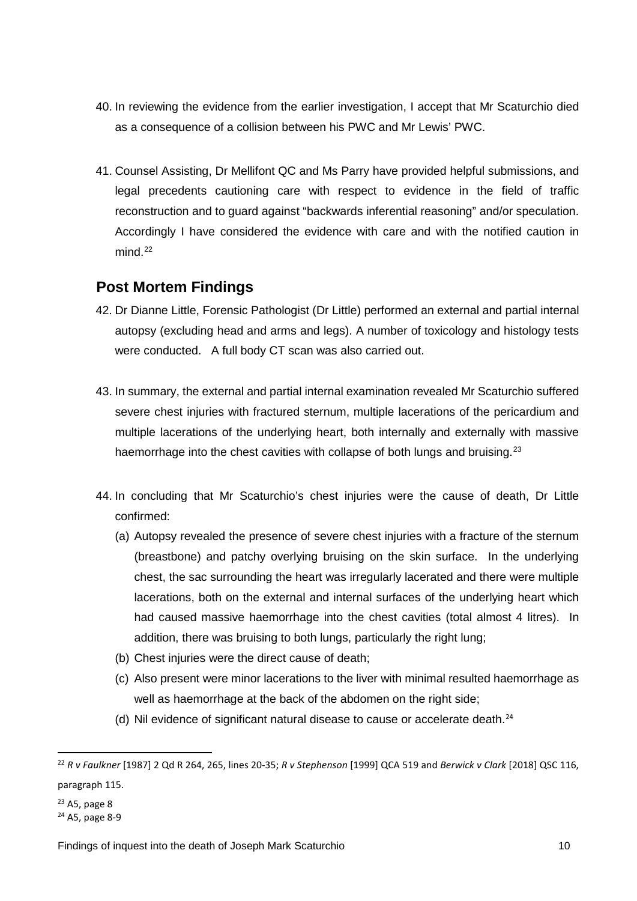- 40. In reviewing the evidence from the earlier investigation, I accept that Mr Scaturchio died as a consequence of a collision between his PWC and Mr Lewis' PWC.
- 41. Counsel Assisting, Dr Mellifont QC and Ms Parry have provided helpful submissions, and legal precedents cautioning care with respect to evidence in the field of traffic reconstruction and to guard against "backwards inferential reasoning" and/or speculation. Accordingly I have considered the evidence with care and with the notified caution in  $mind<sup>22</sup>$

#### <span id="page-10-0"></span>**Post Mortem Findings**

- 42. Dr Dianne Little, Forensic Pathologist (Dr Little) performed an external and partial internal autopsy (excluding head and arms and legs). A number of toxicology and histology tests were conducted. A full body CT scan was also carried out.
- 43. In summary, the external and partial internal examination revealed Mr Scaturchio suffered severe chest injuries with fractured sternum, multiple lacerations of the pericardium and multiple lacerations of the underlying heart, both internally and externally with massive haemorrhage into the chest cavities with collapse of both lungs and bruising.<sup>[23](#page-10-2)</sup>
- 44. In concluding that Mr Scaturchio's chest injuries were the cause of death, Dr Little confirmed:
	- (a) Autopsy revealed the presence of severe chest injuries with a fracture of the sternum (breastbone) and patchy overlying bruising on the skin surface. In the underlying chest, the sac surrounding the heart was irregularly lacerated and there were multiple lacerations, both on the external and internal surfaces of the underlying heart which had caused massive haemorrhage into the chest cavities (total almost 4 litres). In addition, there was bruising to both lungs, particularly the right lung;
	- (b) Chest injuries were the direct cause of death;
	- (c) Also present were minor lacerations to the liver with minimal resulted haemorrhage as well as haemorrhage at the back of the abdomen on the right side;
	- (d) Nil evidence of significant natural disease to cause or accelerate death.[24](#page-10-3)

**.** 

<span id="page-10-1"></span><sup>22</sup> *R v Faulkner* [1987] 2 Qd R 264, 265, lines 20-35; *R v Stephenson* [1999] QCA 519 and *Berwick v Clark* [2018] QSC 116, paragraph 115.

<span id="page-10-2"></span> $23$  A5, page 8

<span id="page-10-3"></span><sup>24</sup> A5, page 8-9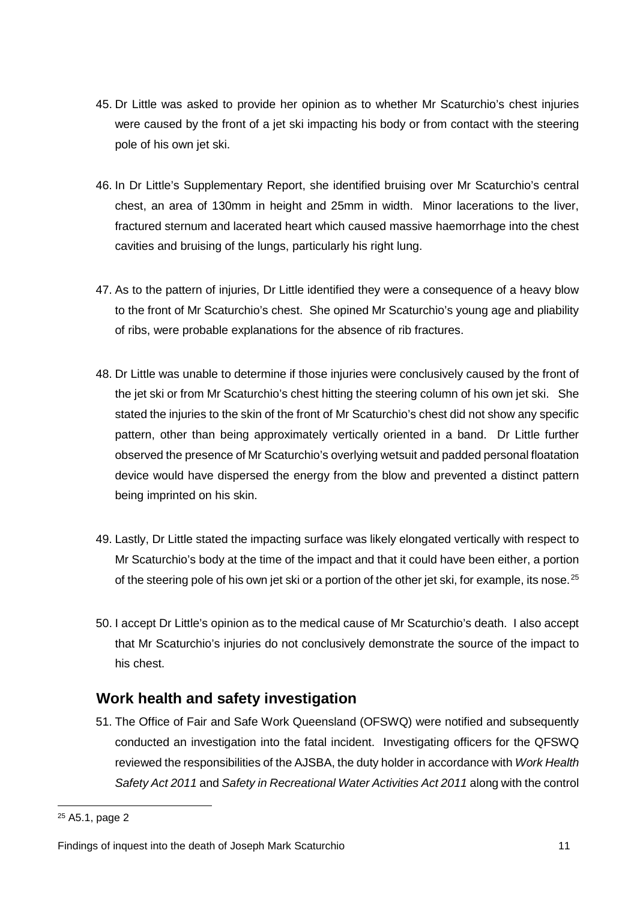- 45. Dr Little was asked to provide her opinion as to whether Mr Scaturchio's chest injuries were caused by the front of a jet ski impacting his body or from contact with the steering pole of his own jet ski.
- 46. In Dr Little's Supplementary Report, she identified bruising over Mr Scaturchio's central chest, an area of 130mm in height and 25mm in width. Minor lacerations to the liver, fractured sternum and lacerated heart which caused massive haemorrhage into the chest cavities and bruising of the lungs, particularly his right lung.
- 47. As to the pattern of injuries, Dr Little identified they were a consequence of a heavy blow to the front of Mr Scaturchio's chest. She opined Mr Scaturchio's young age and pliability of ribs, were probable explanations for the absence of rib fractures.
- 48. Dr Little was unable to determine if those injuries were conclusively caused by the front of the jet ski or from Mr Scaturchio's chest hitting the steering column of his own jet ski. She stated the injuries to the skin of the front of Mr Scaturchio's chest did not show any specific pattern, other than being approximately vertically oriented in a band. Dr Little further observed the presence of Mr Scaturchio's overlying wetsuit and padded personal floatation device would have dispersed the energy from the blow and prevented a distinct pattern being imprinted on his skin.
- 49. Lastly, Dr Little stated the impacting surface was likely elongated vertically with respect to Mr Scaturchio's body at the time of the impact and that it could have been either, a portion of the steering pole of his own jet ski or a portion of the other jet ski, for example, its nose.<sup>[25](#page-11-1)</sup>
- 50. I accept Dr Little's opinion as to the medical cause of Mr Scaturchio's death. I also accept that Mr Scaturchio's injuries do not conclusively demonstrate the source of the impact to his chest.

## <span id="page-11-0"></span>**Work health and safety investigation**

51. The Office of Fair and Safe Work Queensland (OFSWQ) were notified and subsequently conducted an investigation into the fatal incident. Investigating officers for the QFSWQ reviewed the responsibilities of the AJSBA, the duty holder in accordance with *Work Health Safety Act 2011* and *Safety in Recreational Water Activities Act 2011* along with the control

**.** 

<span id="page-11-1"></span><sup>25</sup> A5.1, page 2

Findings of inquest into the death of Joseph Mark Scaturchio 11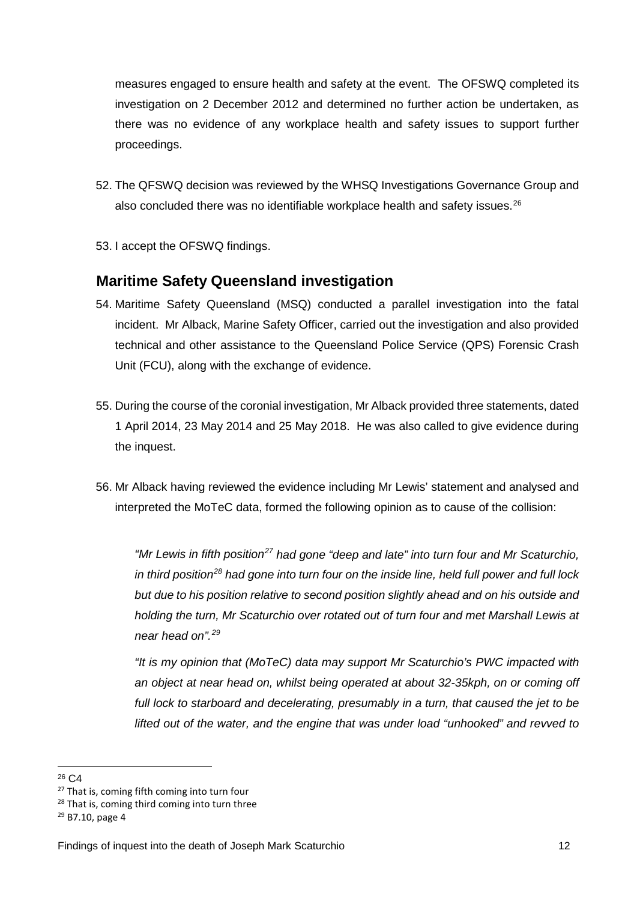measures engaged to ensure health and safety at the event. The OFSWQ completed its investigation on 2 December 2012 and determined no further action be undertaken, as there was no evidence of any workplace health and safety issues to support further proceedings.

- 52. The QFSWQ decision was reviewed by the WHSQ Investigations Governance Group and also concluded there was no identifiable workplace health and safety issues.<sup>[26](#page-12-1)</sup>
- 53. I accept the OFSWQ findings.

#### <span id="page-12-0"></span>**Maritime Safety Queensland investigation**

- 54. Maritime Safety Queensland (MSQ) conducted a parallel investigation into the fatal incident. Mr Alback, Marine Safety Officer, carried out the investigation and also provided technical and other assistance to the Queensland Police Service (QPS) Forensic Crash Unit (FCU), along with the exchange of evidence.
- 55. During the course of the coronial investigation, Mr Alback provided three statements, dated 1 April 2014, 23 May 2014 and 25 May 2018. He was also called to give evidence during the inquest.
- 56. Mr Alback having reviewed the evidence including Mr Lewis' statement and analysed and interpreted the MoTeC data, formed the following opinion as to cause of the collision:

*"Mr Lewis in fifth position[27](#page-12-2) had gone "deep and late" into turn four and Mr Scaturchio, in third position[28](#page-12-3) had gone into turn four on the inside line, held full power and full lock but due to his position relative to second position slightly ahead and on his outside and holding the turn, Mr Scaturchio over rotated out of turn four and met Marshall Lewis at near head on".[29](#page-12-4)*

*"It is my opinion that (MoTeC) data may support Mr Scaturchio's PWC impacted with an object at near head on, whilst being operated at about 32-35kph, on or coming off*  full lock to starboard and decelerating, presumably in a turn, that caused the jet to be *lifted out of the water, and the engine that was under load "unhooked" and revved to* 

<span id="page-12-1"></span><sup>26</sup> C4

<span id="page-12-2"></span><sup>&</sup>lt;sup>27</sup> That is, coming fifth coming into turn four

<span id="page-12-3"></span><sup>&</sup>lt;sup>28</sup> That is, coming third coming into turn three  $29$  B7.10, page 4

<span id="page-12-4"></span>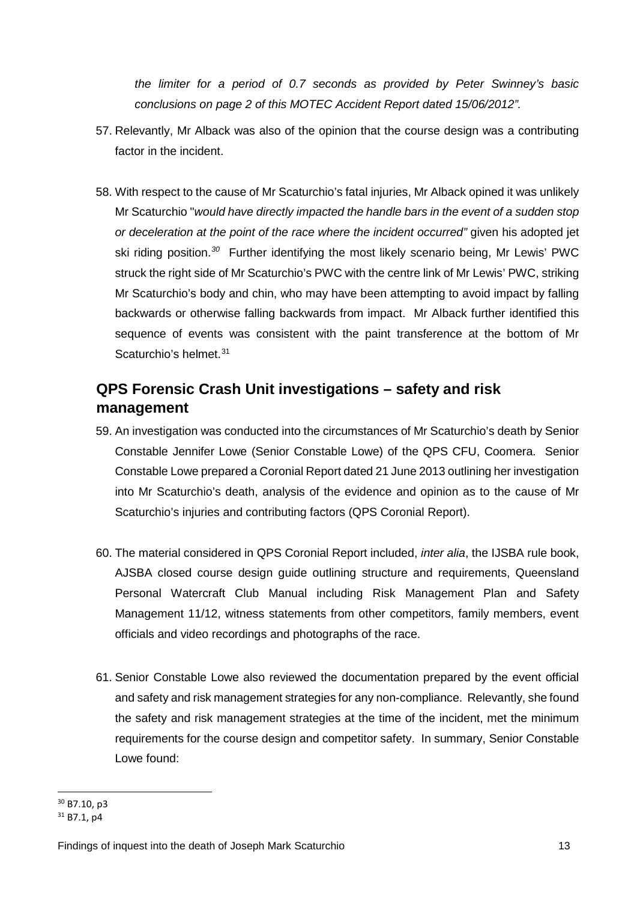*the limiter for a period of 0.7 seconds as provided by Peter Swinney's basic conclusions on page 2 of this MOTEC Accident Report dated 15/06/2012".*

- 57. Relevantly, Mr Alback was also of the opinion that the course design was a contributing factor in the incident.
- 58. With respect to the cause of Mr Scaturchio's fatal injuries, Mr Alback opined it was unlikely Mr Scaturchio "*would have directly impacted the handle bars in the event of a sudden stop or deceleration at the point of the race where the incident occurred"* given his adopted jet ski riding position.*[30](#page-13-1)* Further identifying the most likely scenario being, Mr Lewis' PWC struck the right side of Mr Scaturchio's PWC with the centre link of Mr Lewis' PWC, striking Mr Scaturchio's body and chin, who may have been attempting to avoid impact by falling backwards or otherwise falling backwards from impact. Mr Alback further identified this sequence of events was consistent with the paint transference at the bottom of Mr Scaturchio's helmet.<sup>[31](#page-13-2)</sup>

## <span id="page-13-0"></span>**QPS Forensic Crash Unit investigations – safety and risk management**

- 59. An investigation was conducted into the circumstances of Mr Scaturchio's death by Senior Constable Jennifer Lowe (Senior Constable Lowe) of the QPS CFU, Coomera. Senior Constable Lowe prepared a Coronial Report dated 21 June 2013 outlining her investigation into Mr Scaturchio's death, analysis of the evidence and opinion as to the cause of Mr Scaturchio's injuries and contributing factors (QPS Coronial Report).
- 60. The material considered in QPS Coronial Report included, *inter alia*, the IJSBA rule book, AJSBA closed course design guide outlining structure and requirements, Queensland Personal Watercraft Club Manual including Risk Management Plan and Safety Management 11/12, witness statements from other competitors, family members, event officials and video recordings and photographs of the race.
- 61. Senior Constable Lowe also reviewed the documentation prepared by the event official and safety and risk management strategies for any non-compliance. Relevantly, she found the safety and risk management strategies at the time of the incident, met the minimum requirements for the course design and competitor safety. In summary, Senior Constable Lowe found:

<span id="page-13-1"></span><sup>30</sup> B7.10, p3

<span id="page-13-2"></span> $31$  B7.1, p4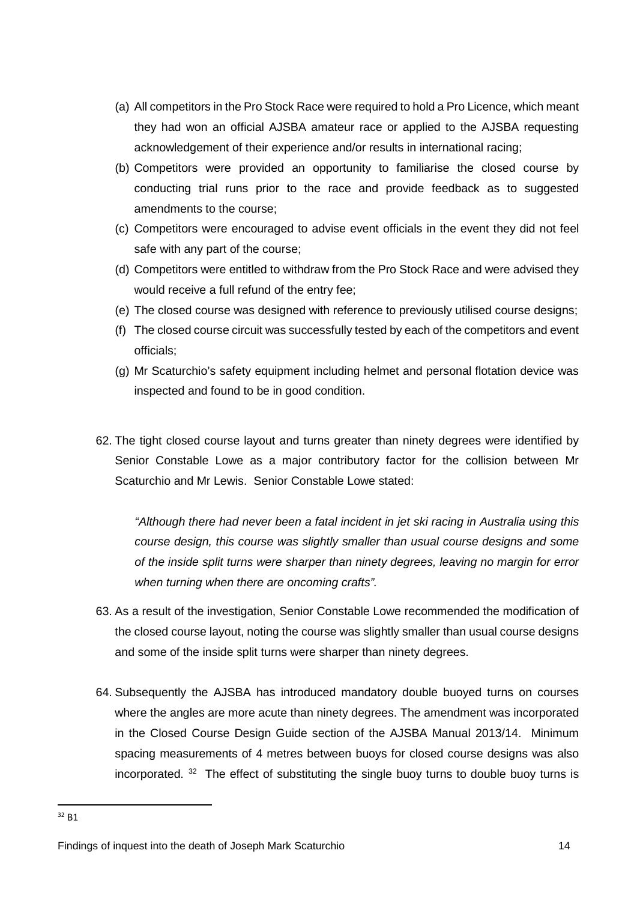- (a) All competitors in the Pro Stock Race were required to hold a Pro Licence, which meant they had won an official AJSBA amateur race or applied to the AJSBA requesting acknowledgement of their experience and/or results in international racing;
- (b) Competitors were provided an opportunity to familiarise the closed course by conducting trial runs prior to the race and provide feedback as to suggested amendments to the course;
- (c) Competitors were encouraged to advise event officials in the event they did not feel safe with any part of the course;
- (d) Competitors were entitled to withdraw from the Pro Stock Race and were advised they would receive a full refund of the entry fee;
- (e) The closed course was designed with reference to previously utilised course designs;
- (f) The closed course circuit was successfully tested by each of the competitors and event officials;
- (g) Mr Scaturchio's safety equipment including helmet and personal flotation device was inspected and found to be in good condition.
- 62. The tight closed course layout and turns greater than ninety degrees were identified by Senior Constable Lowe as a major contributory factor for the collision between Mr Scaturchio and Mr Lewis. Senior Constable Lowe stated:

*"Although there had never been a fatal incident in jet ski racing in Australia using this course design, this course was slightly smaller than usual course designs and some of the inside split turns were sharper than ninety degrees, leaving no margin for error when turning when there are oncoming crafts".* 

- 63. As a result of the investigation, Senior Constable Lowe recommended the modification of the closed course layout, noting the course was slightly smaller than usual course designs and some of the inside split turns were sharper than ninety degrees.
- 64. Subsequently the AJSBA has introduced mandatory double buoyed turns on courses where the angles are more acute than ninety degrees. The amendment was incorporated in the Closed Course Design Guide section of the AJSBA Manual 2013/14. Minimum spacing measurements of 4 metres between buoys for closed course designs was also incorporated.  $32$  The effect of substituting the single buoy turns to double buoy turns is

<u>.</u>

<span id="page-14-0"></span> $32$  B<sub>1</sub>

Findings of inquest into the death of Joseph Mark Scaturchio 14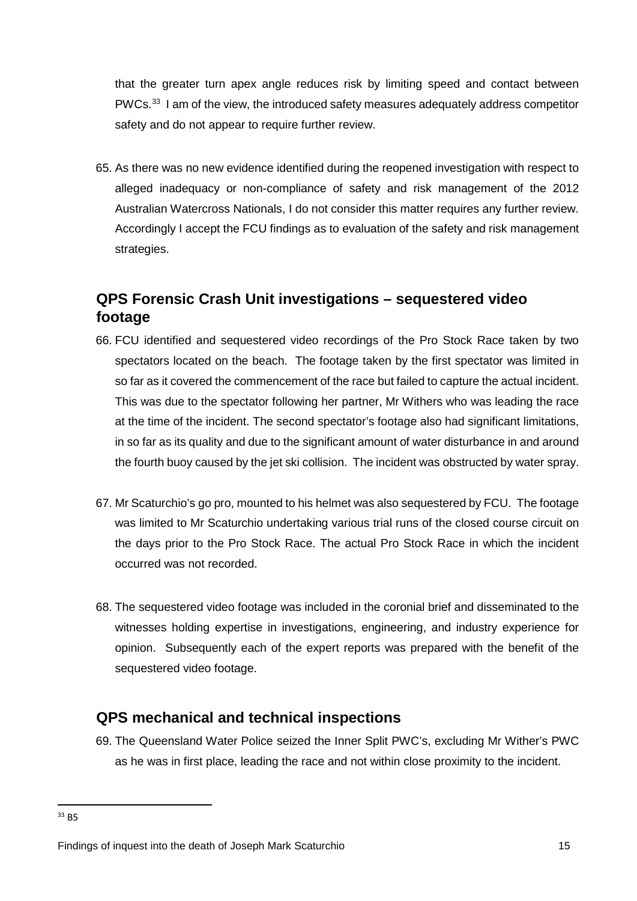that the greater turn apex angle reduces risk by limiting speed and contact between  $PWCs<sup>33</sup>$  I am of the view, the introduced safety measures adequately address competitor safety and do not appear to require further review.

65. As there was no new evidence identified during the reopened investigation with respect to alleged inadequacy or non-compliance of safety and risk management of the 2012 Australian Watercross Nationals, I do not consider this matter requires any further review. Accordingly I accept the FCU findings as to evaluation of the safety and risk management strategies.

## <span id="page-15-0"></span>**QPS Forensic Crash Unit investigations – sequestered video footage**

- 66. FCU identified and sequestered video recordings of the Pro Stock Race taken by two spectators located on the beach. The footage taken by the first spectator was limited in so far as it covered the commencement of the race but failed to capture the actual incident. This was due to the spectator following her partner, Mr Withers who was leading the race at the time of the incident. The second spectator's footage also had significant limitations, in so far as its quality and due to the significant amount of water disturbance in and around the fourth buoy caused by the jet ski collision. The incident was obstructed by water spray.
- 67. Mr Scaturchio's go pro, mounted to his helmet was also sequestered by FCU. The footage was limited to Mr Scaturchio undertaking various trial runs of the closed course circuit on the days prior to the Pro Stock Race. The actual Pro Stock Race in which the incident occurred was not recorded.
- 68. The sequestered video footage was included in the coronial brief and disseminated to the witnesses holding expertise in investigations, engineering, and industry experience for opinion. Subsequently each of the expert reports was prepared with the benefit of the sequestered video footage.

#### <span id="page-15-1"></span>**QPS mechanical and technical inspections**

69. The Queensland Water Police seized the Inner Split PWC's, excluding Mr Wither's PWC as he was in first place, leading the race and not within close proximity to the incident.

<u>.</u>

<span id="page-15-2"></span><sup>33</sup> B5

Findings of inquest into the death of Joseph Mark Scaturchio 15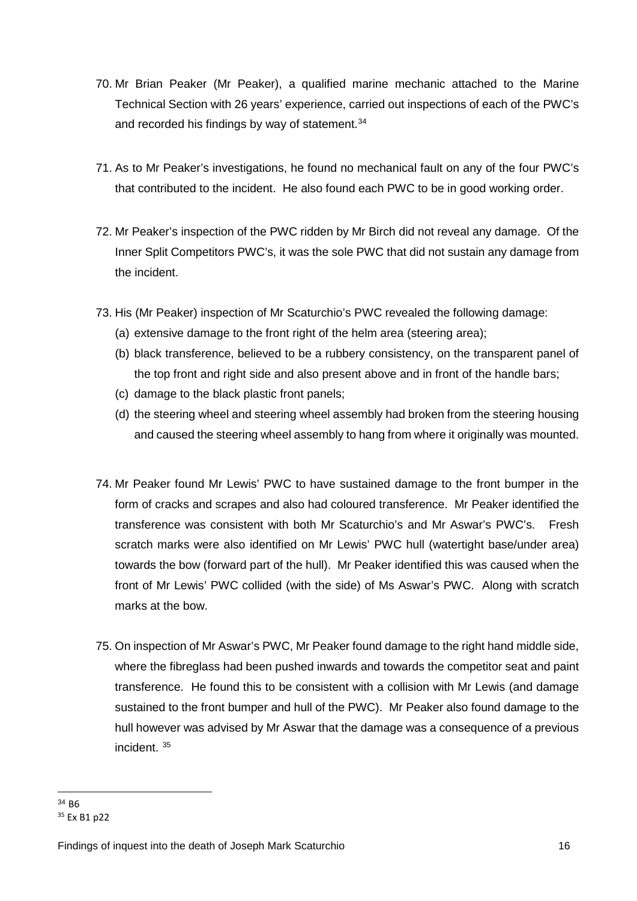- 70. Mr Brian Peaker (Mr Peaker), a qualified marine mechanic attached to the Marine Technical Section with 26 years' experience, carried out inspections of each of the PWC's and recorded his findings by way of statement.<sup>34</sup>
- 71. As to Mr Peaker's investigations, he found no mechanical fault on any of the four PWC's that contributed to the incident. He also found each PWC to be in good working order.
- 72. Mr Peaker's inspection of the PWC ridden by Mr Birch did not reveal any damage. Of the Inner Split Competitors PWC's, it was the sole PWC that did not sustain any damage from the incident.
- 73. His (Mr Peaker) inspection of Mr Scaturchio's PWC revealed the following damage:
	- (a) extensive damage to the front right of the helm area (steering area);
	- (b) black transference, believed to be a rubbery consistency, on the transparent panel of the top front and right side and also present above and in front of the handle bars;
	- (c) damage to the black plastic front panels;
	- (d) the steering wheel and steering wheel assembly had broken from the steering housing and caused the steering wheel assembly to hang from where it originally was mounted.
- 74. Mr Peaker found Mr Lewis' PWC to have sustained damage to the front bumper in the form of cracks and scrapes and also had coloured transference. Mr Peaker identified the transference was consistent with both Mr Scaturchio's and Mr Aswar's PWC's. Fresh scratch marks were also identified on Mr Lewis' PWC hull (watertight base/under area) towards the bow (forward part of the hull). Mr Peaker identified this was caused when the front of Mr Lewis' PWC collided (with the side) of Ms Aswar's PWC. Along with scratch marks at the bow.
- 75. On inspection of Mr Aswar's PWC, Mr Peaker found damage to the right hand middle side, where the fibreglass had been pushed inwards and towards the competitor seat and paint transference. He found this to be consistent with a collision with Mr Lewis (and damage sustained to the front bumper and hull of the PWC). Mr Peaker also found damage to the hull however was advised by Mr Aswar that the damage was a consequence of a previous incident. [35](#page-16-1)

<span id="page-16-0"></span><sup>34</sup> B6

<span id="page-16-1"></span><sup>35</sup> Ex B1 p22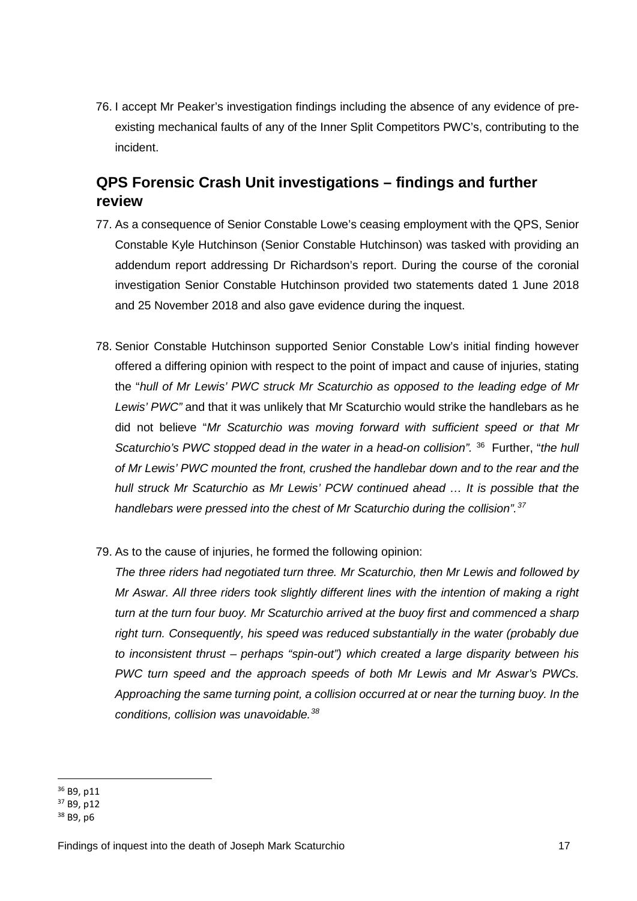76. I accept Mr Peaker's investigation findings including the absence of any evidence of preexisting mechanical faults of any of the Inner Split Competitors PWC's, contributing to the incident.

## <span id="page-17-0"></span>**QPS Forensic Crash Unit investigations – findings and further review**

- 77. As a consequence of Senior Constable Lowe's ceasing employment with the QPS, Senior Constable Kyle Hutchinson (Senior Constable Hutchinson) was tasked with providing an addendum report addressing Dr Richardson's report. During the course of the coronial investigation Senior Constable Hutchinson provided two statements dated 1 June 2018 and 25 November 2018 and also gave evidence during the inquest.
- 78. Senior Constable Hutchinson supported Senior Constable Low's initial finding however offered a differing opinion with respect to the point of impact and cause of injuries, stating the "*hull of Mr Lewis' PWC struck Mr Scaturchio as opposed to the leading edge of Mr Lewis' PWC"* and that it was unlikely that Mr Scaturchio would strike the handlebars as he did not believe "*Mr Scaturchio was moving forward with sufficient speed or that Mr Scaturchio's PWC stopped dead in the water in a head-on collision".* [36](#page-17-1)Further, "*the hull of Mr Lewis' PWC mounted the front, crushed the handlebar down and to the rear and the hull struck Mr Scaturchio as Mr Lewis' PCW continued ahead … It is possible that the handlebars were pressed into the chest of Mr Scaturchio during the collision".[37](#page-17-2)*
- 79. As to the cause of injuries, he formed the following opinion:

*The three riders had negotiated turn three. Mr Scaturchio, then Mr Lewis and followed by Mr Aswar. All three riders took slightly different lines with the intention of making a right turn at the turn four buoy. Mr Scaturchio arrived at the buoy first and commenced a sharp right turn. Consequently, his speed was reduced substantially in the water (probably due to inconsistent thrust – perhaps "spin-out") which created a large disparity between his PWC turn speed and the approach speeds of both Mr Lewis and Mr Aswar's PWCs. Approaching the same turning point, a collision occurred at or near the turning buoy. In the conditions, collision was unavoidable.[38](#page-17-3)*

<sup>36</sup> B9, p11 <u>.</u>

<span id="page-17-2"></span><span id="page-17-1"></span><sup>37</sup> B9, p12

<span id="page-17-3"></span><sup>38</sup> B9, p6

Findings of inquest into the death of Joseph Mark Scaturchio 17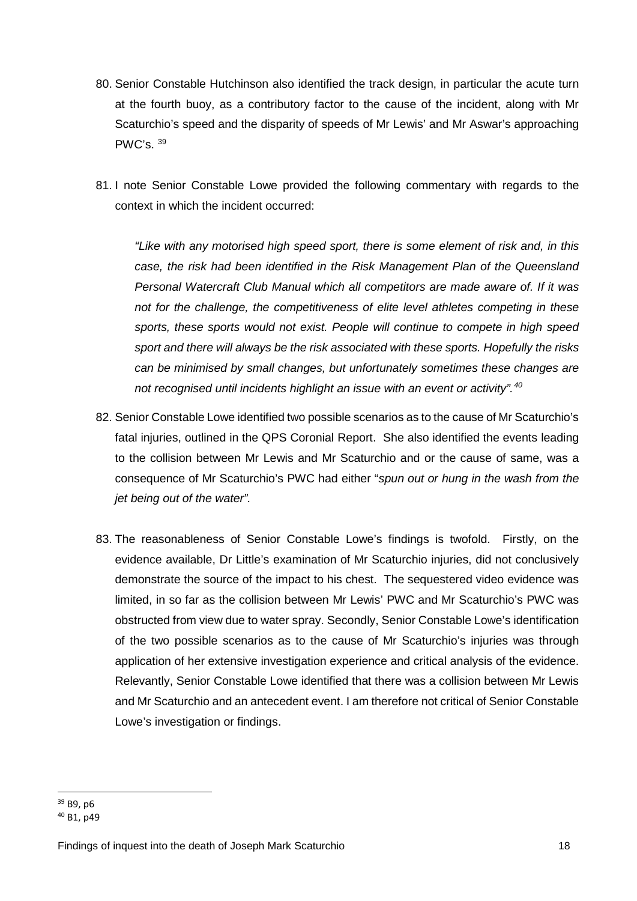- 80. Senior Constable Hutchinson also identified the track design, in particular the acute turn at the fourth buoy, as a contributory factor to the cause of the incident, along with Mr Scaturchio's speed and the disparity of speeds of Mr Lewis' and Mr Aswar's approaching PWC's. [39](#page-18-0)
- 81. I note Senior Constable Lowe provided the following commentary with regards to the context in which the incident occurred:

*"Like with any motorised high speed sport, there is some element of risk and, in this case, the risk had been identified in the Risk Management Plan of the Queensland Personal Watercraft Club Manual which all competitors are made aware of. If it was not for the challenge, the competitiveness of elite level athletes competing in these sports, these sports would not exist. People will continue to compete in high speed sport and there will always be the risk associated with these sports. Hopefully the risks can be minimised by small changes, but unfortunately sometimes these changes are not recognised until incidents highlight an issue with an event or activity".[40](#page-18-1)*

- 82. Senior Constable Lowe identified two possible scenarios as to the cause of Mr Scaturchio's fatal injuries, outlined in the QPS Coronial Report. She also identified the events leading to the collision between Mr Lewis and Mr Scaturchio and or the cause of same, was a consequence of Mr Scaturchio's PWC had either "*spun out or hung in the wash from the jet being out of the water".*
- 83. The reasonableness of Senior Constable Lowe's findings is twofold. Firstly, on the evidence available, Dr Little's examination of Mr Scaturchio injuries, did not conclusively demonstrate the source of the impact to his chest. The sequestered video evidence was limited, in so far as the collision between Mr Lewis' PWC and Mr Scaturchio's PWC was obstructed from view due to water spray. Secondly, Senior Constable Lowe's identification of the two possible scenarios as to the cause of Mr Scaturchio's injuries was through application of her extensive investigation experience and critical analysis of the evidence. Relevantly, Senior Constable Lowe identified that there was a collision between Mr Lewis and Mr Scaturchio and an antecedent event. I am therefore not critical of Senior Constable Lowe's investigation or findings.

<span id="page-18-0"></span><sup>39</sup> B9, p6

<span id="page-18-1"></span><sup>40</sup> B1, p49

Findings of inquest into the death of Joseph Mark Scaturchio 18 18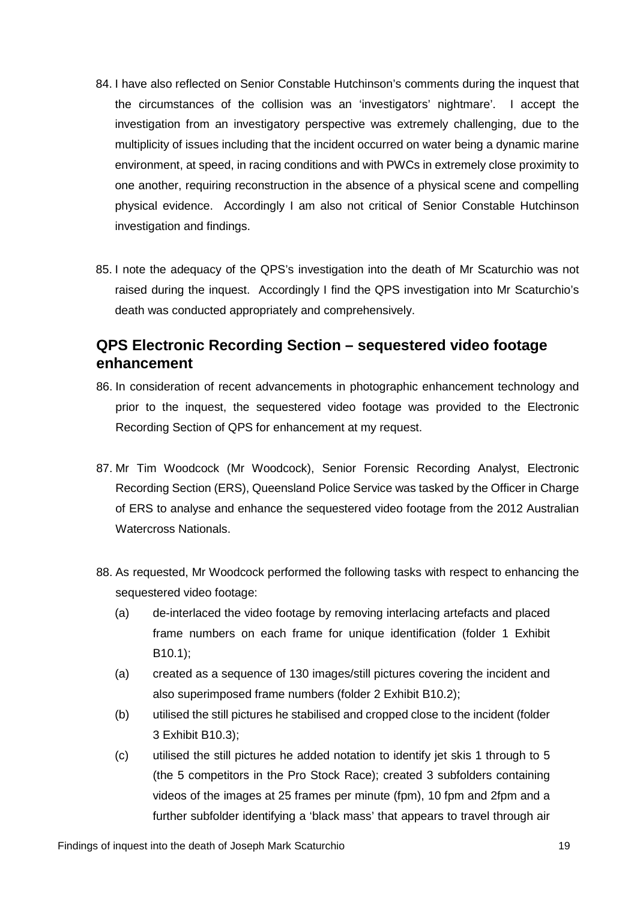- 84. I have also reflected on Senior Constable Hutchinson's comments during the inquest that the circumstances of the collision was an 'investigators' nightmare'. I accept the investigation from an investigatory perspective was extremely challenging, due to the multiplicity of issues including that the incident occurred on water being a dynamic marine environment, at speed, in racing conditions and with PWCs in extremely close proximity to one another, requiring reconstruction in the absence of a physical scene and compelling physical evidence. Accordingly I am also not critical of Senior Constable Hutchinson investigation and findings.
- 85. I note the adequacy of the QPS's investigation into the death of Mr Scaturchio was not raised during the inquest. Accordingly I find the QPS investigation into Mr Scaturchio's death was conducted appropriately and comprehensively.

## <span id="page-19-0"></span>**QPS Electronic Recording Section – sequestered video footage enhancement**

- 86. In consideration of recent advancements in photographic enhancement technology and prior to the inquest, the sequestered video footage was provided to the Electronic Recording Section of QPS for enhancement at my request.
- 87. Mr Tim Woodcock (Mr Woodcock), Senior Forensic Recording Analyst, Electronic Recording Section (ERS), Queensland Police Service was tasked by the Officer in Charge of ERS to analyse and enhance the sequestered video footage from the 2012 Australian Watercross Nationals.
- 88. As requested, Mr Woodcock performed the following tasks with respect to enhancing the sequestered video footage:
	- (a) de-interlaced the video footage by removing interlacing artefacts and placed frame numbers on each frame for unique identification (folder 1 Exhibit B10.1);
	- (a) created as a sequence of 130 images/still pictures covering the incident and also superimposed frame numbers (folder 2 Exhibit B10.2);
	- (b) utilised the still pictures he stabilised and cropped close to the incident (folder 3 Exhibit B10.3);
	- (c) utilised the still pictures he added notation to identify jet skis 1 through to 5 (the 5 competitors in the Pro Stock Race); created 3 subfolders containing videos of the images at 25 frames per minute (fpm), 10 fpm and 2fpm and a further subfolder identifying a 'black mass' that appears to travel through air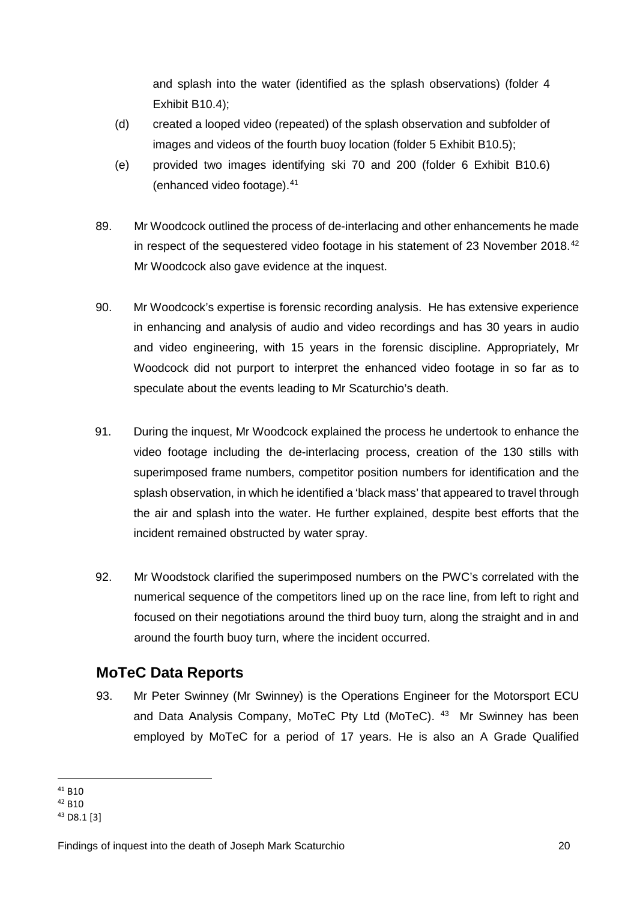and splash into the water (identified as the splash observations) (folder 4 Exhibit B10.4);

- (d) created a looped video (repeated) of the splash observation and subfolder of images and videos of the fourth buoy location (folder 5 Exhibit B10.5);
- (e) provided two images identifying ski 70 and 200 (folder 6 Exhibit B10.6) (enhanced video footage).[41](#page-20-1)
- 89. Mr Woodcock outlined the process of de-interlacing and other enhancements he made in respect of the sequestered video footage in his statement of 23 November 2018.<sup>[42](#page-20-2)</sup> Mr Woodcock also gave evidence at the inquest.
- 90. Mr Woodcock's expertise is forensic recording analysis. He has extensive experience in enhancing and analysis of audio and video recordings and has 30 years in audio and video engineering, with 15 years in the forensic discipline. Appropriately, Mr Woodcock did not purport to interpret the enhanced video footage in so far as to speculate about the events leading to Mr Scaturchio's death.
- 91. During the inquest, Mr Woodcock explained the process he undertook to enhance the video footage including the de-interlacing process, creation of the 130 stills with superimposed frame numbers, competitor position numbers for identification and the splash observation, in which he identified a 'black mass' that appeared to travel through the air and splash into the water. He further explained, despite best efforts that the incident remained obstructed by water spray.
- 92. Mr Woodstock clarified the superimposed numbers on the PWC's correlated with the numerical sequence of the competitors lined up on the race line, from left to right and focused on their negotiations around the third buoy turn, along the straight and in and around the fourth buoy turn, where the incident occurred.

## <span id="page-20-0"></span>**MoTeC Data Reports**

93. Mr Peter Swinney (Mr Swinney) is the Operations Engineer for the Motorsport ECU and Data Analysis Company, MoTeC Pty Ltd (MoTeC). <sup>43</sup> Mr Swinney has been employed by MoTeC for a period of 17 years. He is also an A Grade Qualified

 $41$  B<sub>10</sub> <u>.</u>

<span id="page-20-2"></span><span id="page-20-1"></span><sup>42</sup> B10

<span id="page-20-3"></span><sup>43</sup> D8.1 [3]

Findings of inquest into the death of Joseph Mark Scaturchio 20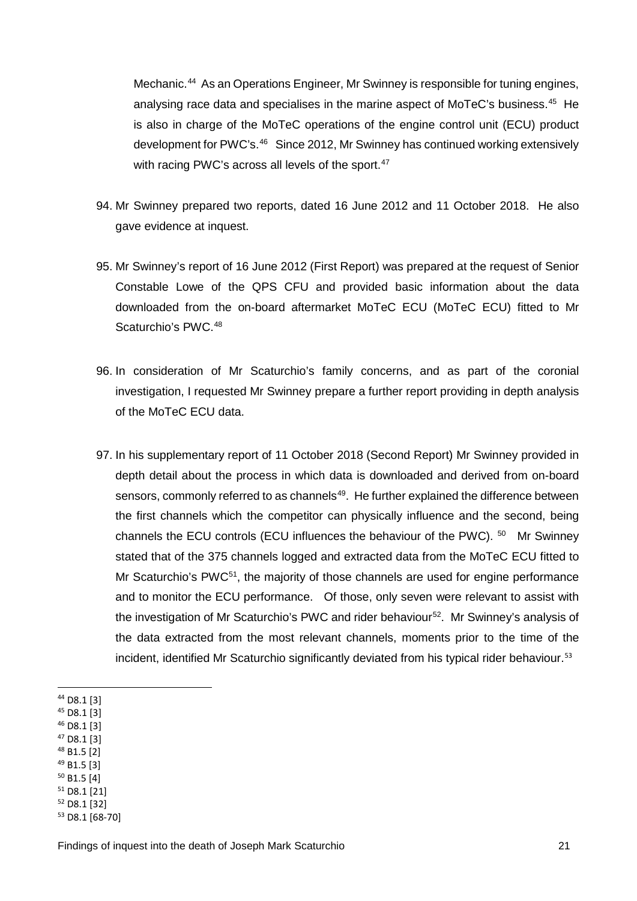Mechanic.<sup>[44](#page-21-0)</sup> As an Operations Engineer, Mr Swinney is responsible for tuning engines, analysing race data and specialises in the marine aspect of MoTeC's business.<sup>[45](#page-21-1)</sup> He is also in charge of the MoTeC operations of the engine control unit (ECU) product development for PWC's.<sup>[46](#page-21-2)</sup> Since 2012, Mr Swinney has continued working extensively with racing PWC's across all levels of the sport.<sup>[47](#page-21-3)</sup>

- 94. Mr Swinney prepared two reports, dated 16 June 2012 and 11 October 2018. He also gave evidence at inquest.
- 95. Mr Swinney's report of 16 June 2012 (First Report) was prepared at the request of Senior Constable Lowe of the QPS CFU and provided basic information about the data downloaded from the on-board aftermarket MoTeC ECU (MoTeC ECU) fitted to Mr Scaturchio's PWC.<sup>48</sup>
- 96. In consideration of Mr Scaturchio's family concerns, and as part of the coronial investigation, I requested Mr Swinney prepare a further report providing in depth analysis of the MoTeC ECU data.
- 97. In his supplementary report of 11 October 2018 (Second Report) Mr Swinney provided in depth detail about the process in which data is downloaded and derived from on-board sensors, commonly referred to as channels<sup>49</sup>. He further explained the difference between the first channels which the competitor can physically influence and the second, being channels the ECU controls (ECU influences the behaviour of the PWC). [50](#page-21-6) Mr Swinney stated that of the 375 channels logged and extracted data from the MoTeC ECU fitted to Mr Scaturchio's PWC<sup>51</sup>, the majority of those channels are used for engine performance and to monitor the ECU performance. Of those, only seven were relevant to assist with the investigation of Mr Scaturchio's PWC and rider behaviour<sup>[52](#page-21-8)</sup>. Mr Swinney's analysis of the data extracted from the most relevant channels, moments prior to the time of the incident, identified Mr Scaturchio significantly deviated from his typical rider behaviour.<sup>[53](#page-21-9)</sup>
- <span id="page-21-0"></span><sup>44</sup> D8.1 [3] <u>.</u>
- <span id="page-21-1"></span><sup>45</sup> D8.1 [3]
- <span id="page-21-2"></span><sup>46</sup> D8.1 [3]
- <span id="page-21-3"></span><sup>47</sup> D8.1 [3]
- <span id="page-21-4"></span><sup>48</sup> B1.5 [2]
- <span id="page-21-5"></span><sup>49</sup> B1.5 [3] <sup>50</sup> B1.5 [4]
- <span id="page-21-7"></span><span id="page-21-6"></span><sup>51</sup> D8.1 [21]
- <span id="page-21-8"></span><sup>52</sup> D8.1 [32]

<span id="page-21-9"></span><sup>53</sup> D8.1 [68-70]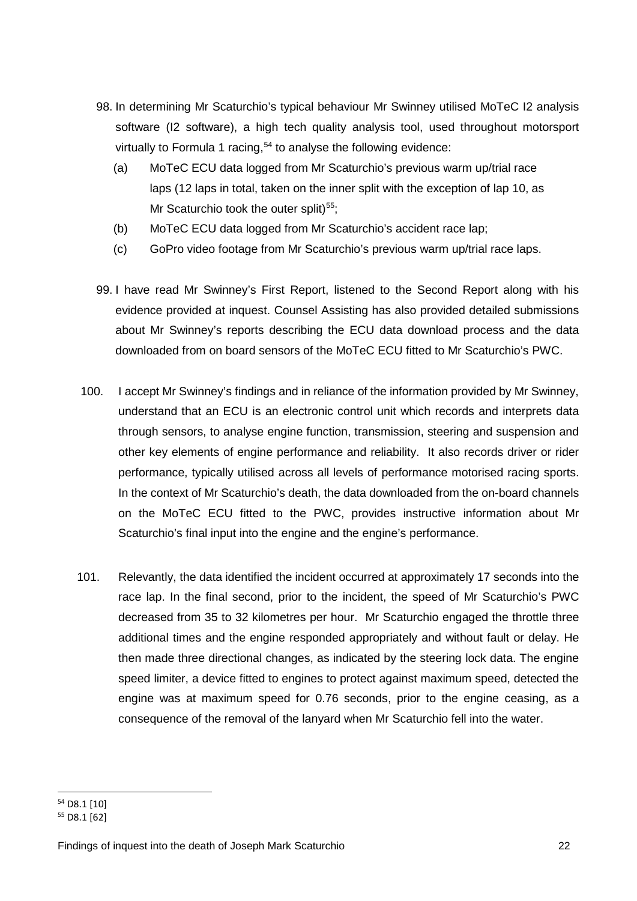- 98. In determining Mr Scaturchio's typical behaviour Mr Swinney utilised MoTeC I2 analysis software (I2 software), a high tech quality analysis tool, used throughout motorsport virtually to Formula 1 racing,  $54$  to analyse the following evidence:
	- (a) MoTeC ECU data logged from Mr Scaturchio's previous warm up/trial race laps (12 laps in total, taken on the inner split with the exception of lap 10, as Mr Scaturchio took the outer split) $55$ ;
	- (b) MoTeC ECU data logged from Mr Scaturchio's accident race lap;
	- (c) GoPro video footage from Mr Scaturchio's previous warm up/trial race laps.
- 99. I have read Mr Swinney's First Report, listened to the Second Report along with his evidence provided at inquest. Counsel Assisting has also provided detailed submissions about Mr Swinney's reports describing the ECU data download process and the data downloaded from on board sensors of the MoTeC ECU fitted to Mr Scaturchio's PWC.
- 100. I accept Mr Swinney's findings and in reliance of the information provided by Mr Swinney, understand that an ECU is an electronic control unit which records and interprets data through sensors, to analyse engine function, transmission, steering and suspension and other key elements of engine performance and reliability. It also records driver or rider performance, typically utilised across all levels of performance motorised racing sports. In the context of Mr Scaturchio's death, the data downloaded from the on-board channels on the MoTeC ECU fitted to the PWC, provides instructive information about Mr Scaturchio's final input into the engine and the engine's performance.
- 101. Relevantly, the data identified the incident occurred at approximately 17 seconds into the race lap. In the final second, prior to the incident, the speed of Mr Scaturchio's PWC decreased from 35 to 32 kilometres per hour. Mr Scaturchio engaged the throttle three additional times and the engine responded appropriately and without fault or delay. He then made three directional changes, as indicated by the steering lock data. The engine speed limiter, a device fitted to engines to protect against maximum speed, detected the engine was at maximum speed for 0.76 seconds, prior to the engine ceasing, as a consequence of the removal of the lanyard when Mr Scaturchio fell into the water.

<span id="page-22-0"></span><sup>54</sup> D8.1 [10]

<span id="page-22-1"></span><sup>55</sup> D8.1 [62]

Findings of inquest into the death of Joseph Mark Scaturchio 22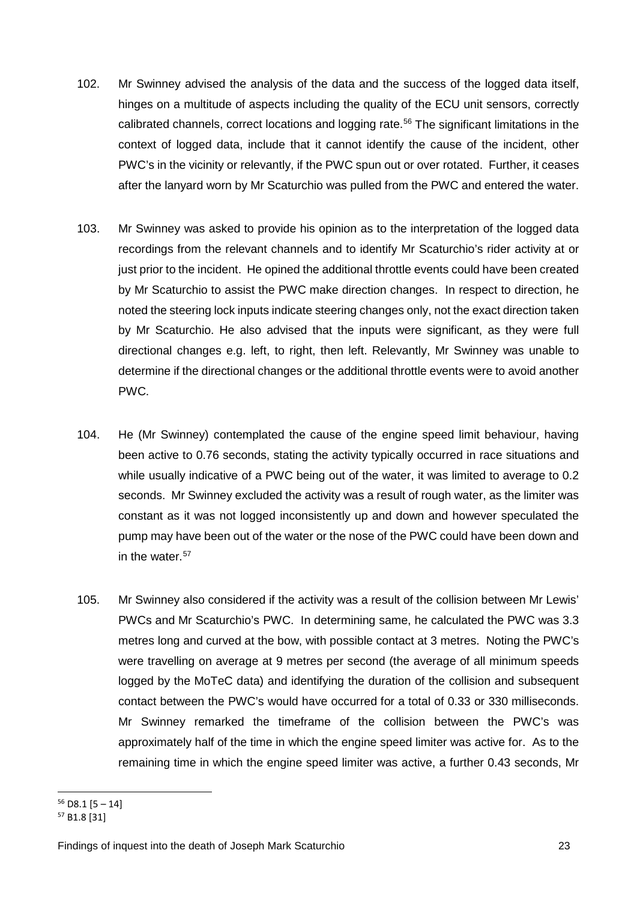- 102. Mr Swinney advised the analysis of the data and the success of the logged data itself, hinges on a multitude of aspects including the quality of the ECU unit sensors, correctly calibrated channels, correct locations and logging rate.[56](#page-23-0) The significant limitations in the context of logged data, include that it cannot identify the cause of the incident, other PWC's in the vicinity or relevantly, if the PWC spun out or over rotated. Further, it ceases after the lanyard worn by Mr Scaturchio was pulled from the PWC and entered the water.
- 103. Mr Swinney was asked to provide his opinion as to the interpretation of the logged data recordings from the relevant channels and to identify Mr Scaturchio's rider activity at or just prior to the incident. He opined the additional throttle events could have been created by Mr Scaturchio to assist the PWC make direction changes. In respect to direction, he noted the steering lock inputs indicate steering changes only, not the exact direction taken by Mr Scaturchio. He also advised that the inputs were significant, as they were full directional changes e.g. left, to right, then left. Relevantly, Mr Swinney was unable to determine if the directional changes or the additional throttle events were to avoid another PWC.
- 104. He (Mr Swinney) contemplated the cause of the engine speed limit behaviour, having been active to 0.76 seconds, stating the activity typically occurred in race situations and while usually indicative of a PWC being out of the water, it was limited to average to 0.2 seconds. Mr Swinney excluded the activity was a result of rough water, as the limiter was constant as it was not logged inconsistently up and down and however speculated the pump may have been out of the water or the nose of the PWC could have been down and in the water. $57$
- 105. Mr Swinney also considered if the activity was a result of the collision between Mr Lewis' PWCs and Mr Scaturchio's PWC. In determining same, he calculated the PWC was 3.3 metres long and curved at the bow, with possible contact at 3 metres. Noting the PWC's were travelling on average at 9 metres per second (the average of all minimum speeds logged by the MoTeC data) and identifying the duration of the collision and subsequent contact between the PWC's would have occurred for a total of 0.33 or 330 milliseconds. Mr Swinney remarked the timeframe of the collision between the PWC's was approximately half of the time in which the engine speed limiter was active for. As to the remaining time in which the engine speed limiter was active, a further 0.43 seconds, Mr

 $56$  D8.1 [5 – 14]  $\overline{a}$ 

<span id="page-23-1"></span><span id="page-23-0"></span><sup>57</sup> B1.8 [31]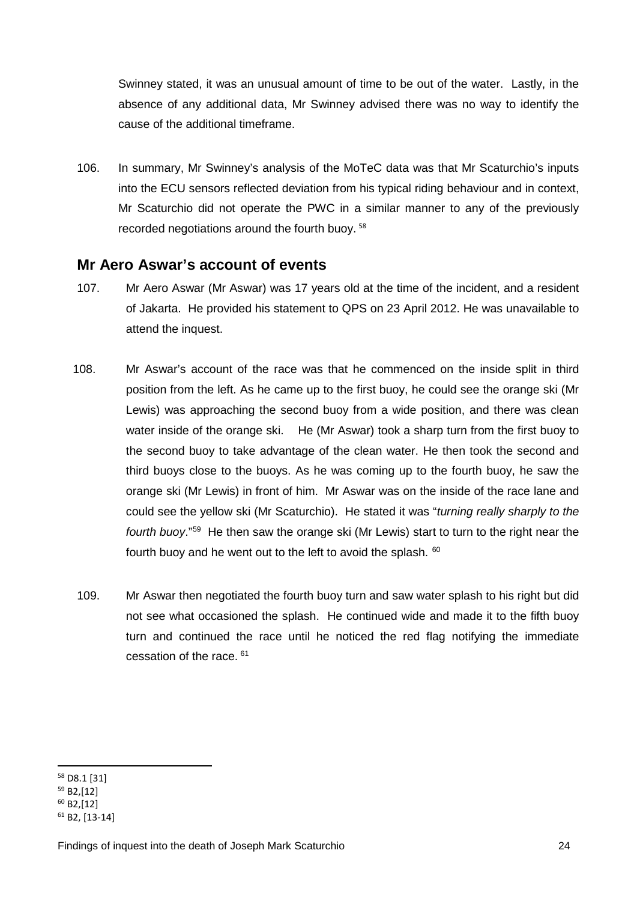Swinney stated, it was an unusual amount of time to be out of the water. Lastly, in the absence of any additional data, Mr Swinney advised there was no way to identify the cause of the additional timeframe.

106. In summary, Mr Swinney's analysis of the MoTeC data was that Mr Scaturchio's inputs into the ECU sensors reflected deviation from his typical riding behaviour and in context, Mr Scaturchio did not operate the PWC in a similar manner to any of the previously recorded negotiations around the fourth buoy. [58](#page-24-1)

#### <span id="page-24-0"></span>**Mr Aero Aswar's account of events**

- 107. Mr Aero Aswar (Mr Aswar) was 17 years old at the time of the incident, and a resident of Jakarta. He provided his statement to QPS on 23 April 2012. He was unavailable to attend the inquest.
- 108. Mr Aswar's account of the race was that he commenced on the inside split in third position from the left. As he came up to the first buoy, he could see the orange ski (Mr Lewis) was approaching the second buoy from a wide position, and there was clean water inside of the orange ski. He (Mr Aswar) took a sharp turn from the first buoy to the second buoy to take advantage of the clean water. He then took the second and third buoys close to the buoys. As he was coming up to the fourth buoy, he saw the orange ski (Mr Lewis) in front of him. Mr Aswar was on the inside of the race lane and could see the yellow ski (Mr Scaturchio). He stated it was "*turning really sharply to the fourth buoy*."[59](#page-24-2) He then saw the orange ski (Mr Lewis) start to turn to the right near the fourth buoy and he went out to the left to avoid the splash. <sup>[60](#page-24-3)</sup>
- 109. Mr Aswar then negotiated the fourth buoy turn and saw water splash to his right but did not see what occasioned the splash. He continued wide and made it to the fifth buoy turn and continued the race until he noticed the red flag notifying the immediate cessation of the race. [61](#page-24-4)

<span id="page-24-1"></span><sup>58</sup> D8.1 [31]

<span id="page-24-2"></span><sup>59</sup> B2,[12]

<span id="page-24-3"></span> $60$  B<sub>2</sub>,[12]

<span id="page-24-4"></span><sup>61</sup> B2, [13-14]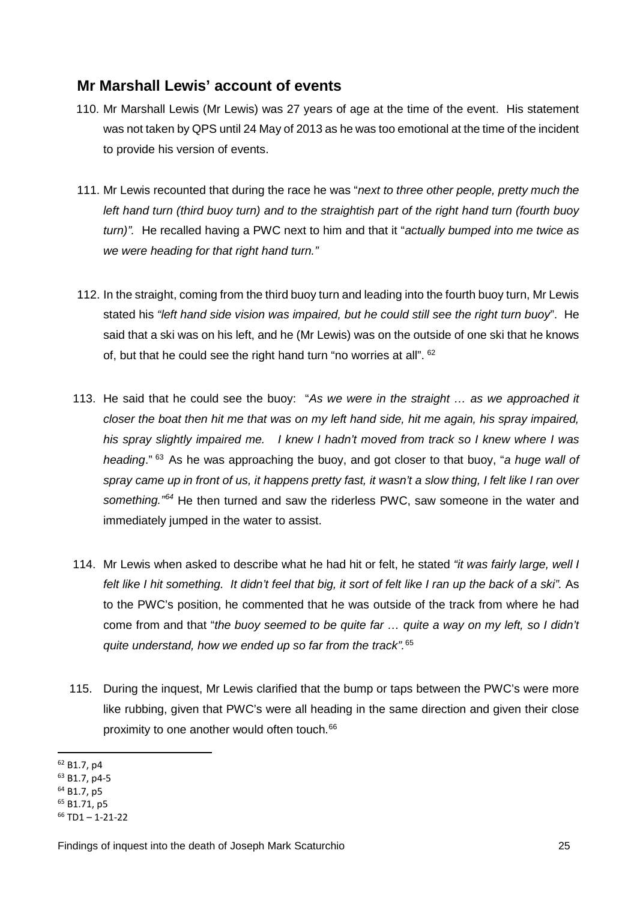### <span id="page-25-0"></span>**Mr Marshall Lewis' account of events**

- 110. Mr Marshall Lewis (Mr Lewis) was 27 years of age at the time of the event. His statement was not taken by QPS until 24 May of 2013 as he was too emotional at the time of the incident to provide his version of events.
- 111. Mr Lewis recounted that during the race he was "*next to three other people, pretty much the left hand turn (third buoy turn) and to the straightish part of the right hand turn (fourth buoy turn)".* He recalled having a PWC next to him and that it "*actually bumped into me twice as we were heading for that right hand turn."*
- 112. In the straight, coming from the third buoy turn and leading into the fourth buoy turn, Mr Lewis stated his *"left hand side vision was impaired, but he could still see the right turn buoy*". He said that a ski was on his left, and he (Mr Lewis) was on the outside of one ski that he knows of, but that he could see the right hand turn "no worries at all". [62](#page-25-1)
- 113. He said that he could see the buoy: "*As we were in the straight … as we approached it closer the boat then hit me that was on my left hand side, hit me again, his spray impaired, his spray slightly impaired me. I knew I hadn't moved from track so I knew where I was heading*." [63](#page-25-2) As he was approaching the buoy, and got closer to that buoy, "*a huge wall of spray came up in front of us, it happens pretty fast, it wasn't a slow thing, I felt like I ran over something."[64](#page-25-3)* He then turned and saw the riderless PWC, saw someone in the water and immediately jumped in the water to assist.
- 114. Mr Lewis when asked to describe what he had hit or felt, he stated *"it was fairly large, well I*  felt like I hit something. It didn't feel that big, it sort of felt like I ran up the back of a ski". As to the PWC's position, he commented that he was outside of the track from where he had come from and that "*the buoy seemed to be quite far … quite a way on my left, so I didn't quite understand, how we ended up so far from the track".*[65](#page-25-4)
- 115. During the inquest, Mr Lewis clarified that the bump or taps between the PWC's were more like rubbing, given that PWC's were all heading in the same direction and given their close proximity to one another would often touch.<sup>[66](#page-25-5)</sup>

<span id="page-25-1"></span><sup>62</sup> B1.7, p4 **.** 

<span id="page-25-2"></span><sup>63</sup> B1.7, p4-5

<span id="page-25-3"></span><sup>&</sup>lt;sup>64</sup> B1.7, p5

<span id="page-25-5"></span><span id="page-25-4"></span><sup>&</sup>lt;sup>65</sup> B1.71, p5<br><sup>66</sup> TD1 – 1-21-22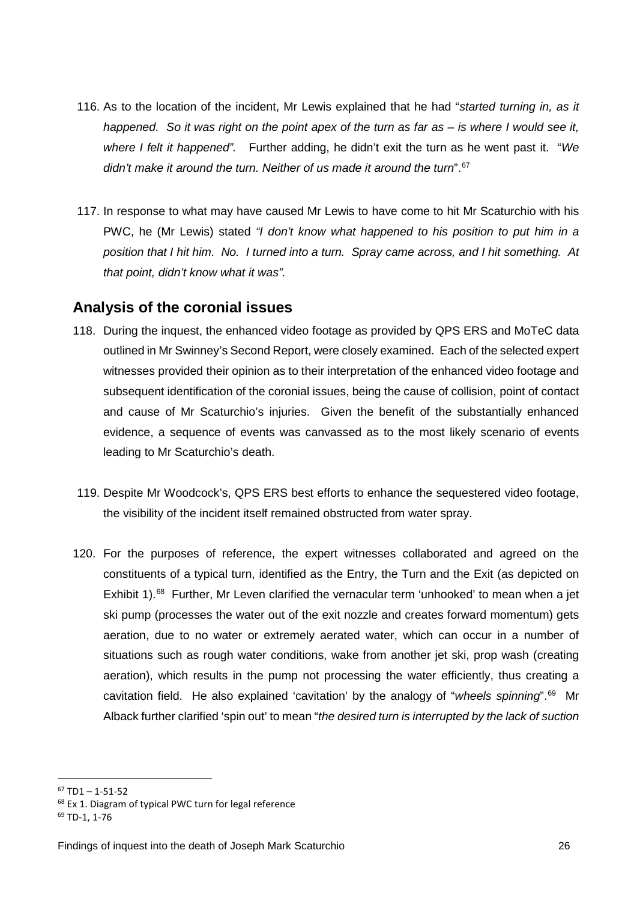- 116. As to the location of the incident, Mr Lewis explained that he had "*started turning in, as it happened. So it was right on the point apex of the turn as far as – is where I would see it, where I felt it happened".* Further adding, he didn't exit the turn as he went past it. "*We didn't make it around the turn. Neither of us made it around the turn*".[67](#page-26-1)
- 117. In response to what may have caused Mr Lewis to have come to hit Mr Scaturchio with his PWC, he (Mr Lewis) stated *"I don't know what happened to his position to put him in a position that I hit him. No. I turned into a turn. Spray came across, and I hit something. At that point, didn't know what it was".*

#### <span id="page-26-0"></span>**Analysis of the coronial issues**

- 118. During the inquest, the enhanced video footage as provided by QPS ERS and MoTeC data outlined in Mr Swinney's Second Report, were closely examined. Each of the selected expert witnesses provided their opinion as to their interpretation of the enhanced video footage and subsequent identification of the coronial issues, being the cause of collision, point of contact and cause of Mr Scaturchio's injuries. Given the benefit of the substantially enhanced evidence, a sequence of events was canvassed as to the most likely scenario of events leading to Mr Scaturchio's death.
- 119. Despite Mr Woodcock's, QPS ERS best efforts to enhance the sequestered video footage, the visibility of the incident itself remained obstructed from water spray.
- 120. For the purposes of reference, the expert witnesses collaborated and agreed on the constituents of a typical turn, identified as the Entry, the Turn and the Exit (as depicted on Exhibit 1).<sup>68</sup> Further, Mr Leven clarified the vernacular term 'unhooked' to mean when a jet ski pump (processes the water out of the exit nozzle and creates forward momentum) gets aeration, due to no water or extremely aerated water, which can occur in a number of situations such as rough water conditions, wake from another jet ski, prop wash (creating aeration), which results in the pump not processing the water efficiently, thus creating a cavitation field. He also explained 'cavitation' by the analogy of "*wheels spinning*".[69](#page-26-3) Mr Alback further clarified 'spin out' to mean "*the desired turn is interrupted by the lack of suction*

<u>.</u>

<span id="page-26-1"></span> $67$  TD1 – 1-51-52

<span id="page-26-2"></span><sup>&</sup>lt;sup>68</sup> Ex 1. Diagram of typical PWC turn for legal reference

<span id="page-26-3"></span><sup>69</sup> TD-1, 1-76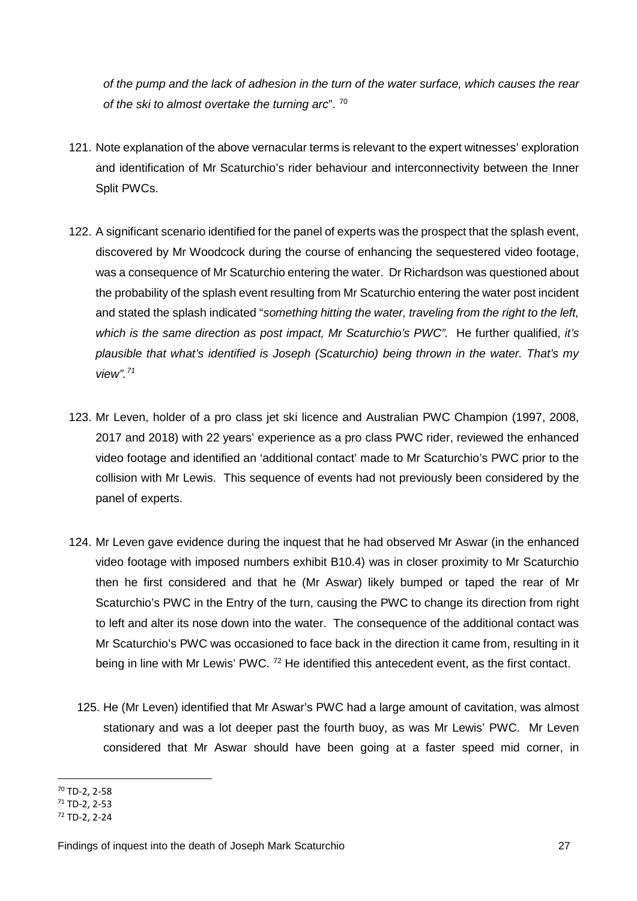*of the pump and the lack of adhesion in the turn of the water surface, which causes the rear of the ski to almost overtake the turning arc*". [70](#page-27-0) 

- 121. Note explanation of the above vernacular terms is relevant to the expert witnesses' exploration and identification of Mr Scaturchio's rider behaviour and interconnectivity between the Inner Split PWCs.
- 122. A significant scenario identified for the panel of experts was the prospect that the splash event, discovered by Mr Woodcock during the course of enhancing the sequestered video footage, was a consequence of Mr Scaturchio entering the water. Dr Richardson was questioned about the probability of the splash event resulting from Mr Scaturchio entering the water post incident and stated the splash indicated "*something hitting the water, traveling from the right to the left, which is the same direction as post impact, Mr Scaturchio's PWC".* He further qualified, *it's plausible that what's identified is Joseph (Scaturchio) being thrown in the water. That's my view".[71](#page-27-1)*
- 123. Mr Leven, holder of a pro class jet ski licence and Australian PWC Champion (1997, 2008, 2017 and 2018) with 22 years' experience as a pro class PWC rider, reviewed the enhanced video footage and identified an 'additional contact' made to Mr Scaturchio's PWC prior to the collision with Mr Lewis. This sequence of events had not previously been considered by the panel of experts.
- 124. Mr Leven gave evidence during the inquest that he had observed Mr Aswar (in the enhanced video footage with imposed numbers exhibit B10.4) was in closer proximity to Mr Scaturchio then he first considered and that he (Mr Aswar) likely bumped or taped the rear of Mr Scaturchio's PWC in the Entry of the turn, causing the PWC to change its direction from right to left and alter its nose down into the water. The consequence of the additional contact was Mr Scaturchio's PWC was occasioned to face back in the direction it came from, resulting in it being in line with Mr Lewis' PWC. <sup>[72](#page-27-2)</sup> He identified this antecedent event, as the first contact.
	- 125. He (Mr Leven) identified that Mr Aswar's PWC had a large amount of cavitation, was almost stationary and was a lot deeper past the fourth buoy, as was Mr Lewis' PWC. Mr Leven considered that Mr Aswar should have been going at a faster speed mid corner, in

 $70$  TD-2, 2-58 <u>.</u>

<span id="page-27-1"></span><span id="page-27-0"></span><sup>71</sup> TD-2, 2-53

<span id="page-27-2"></span><sup>72</sup> TD-2, 2-24

Findings of inquest into the death of Joseph Mark Scaturchio 27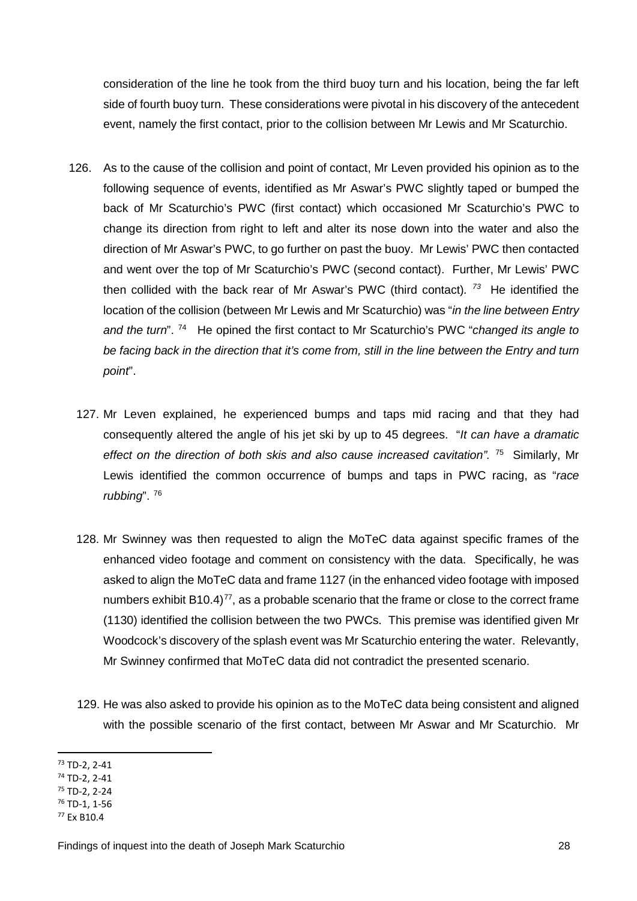consideration of the line he took from the third buoy turn and his location, being the far left side of fourth buoy turn. These considerations were pivotal in his discovery of the antecedent event, namely the first contact, prior to the collision between Mr Lewis and Mr Scaturchio.

- 126. As to the cause of the collision and point of contact, Mr Leven provided his opinion as to the following sequence of events, identified as Mr Aswar's PWC slightly taped or bumped the back of Mr Scaturchio's PWC (first contact) which occasioned Mr Scaturchio's PWC to change its direction from right to left and alter its nose down into the water and also the direction of Mr Aswar's PWC, to go further on past the buoy. Mr Lewis' PWC then contacted and went over the top of Mr Scaturchio's PWC (second contact). Further, Mr Lewis' PWC then collided with the back rear of Mr Aswar's PWC (third contact)*. [73](#page-28-0)* He identified the location of the collision (between Mr Lewis and Mr Scaturchio) was "*in the line between Entry and the turn*". [74](#page-28-1) He opined the first contact to Mr Scaturchio's PWC "*changed its angle to*  be facing back in the direction that it's come from, still in the line between the Entry and turn *point*".
	- 127. Mr Leven explained, he experienced bumps and taps mid racing and that they had consequently altered the angle of his jet ski by up to 45 degrees. "*It can have a dramatic effect on the direction of both skis and also cause increased cavitation".* [75](#page-28-2) Similarly, Mr Lewis identified the common occurrence of bumps and taps in PWC racing, as "*race rubbing*". [76](#page-28-3)
	- 128. Mr Swinney was then requested to align the MoTeC data against specific frames of the enhanced video footage and comment on consistency with the data. Specifically, he was asked to align the MoTeC data and frame 1127 (in the enhanced video footage with imposed numbers exhibit B10.4) $^{77}$  $^{77}$  $^{77}$ , as a probable scenario that the frame or close to the correct frame (1130) identified the collision between the two PWCs. This premise was identified given Mr Woodcock's discovery of the splash event was Mr Scaturchio entering the water. Relevantly, Mr Swinney confirmed that MoTeC data did not contradict the presented scenario.
	- 129. He was also asked to provide his opinion as to the MoTeC data being consistent and aligned with the possible scenario of the first contact, between Mr Aswar and Mr Scaturchio. Mr

<span id="page-28-0"></span><sup>73</sup> TD-2, 2-41 **.** 

<span id="page-28-1"></span><sup>74</sup> TD-2, 2-41

<span id="page-28-2"></span><sup>75</sup> TD-2, 2-24

<span id="page-28-3"></span><sup>76</sup> TD-1, 1-56

<span id="page-28-4"></span><sup>77</sup> Ex B10.4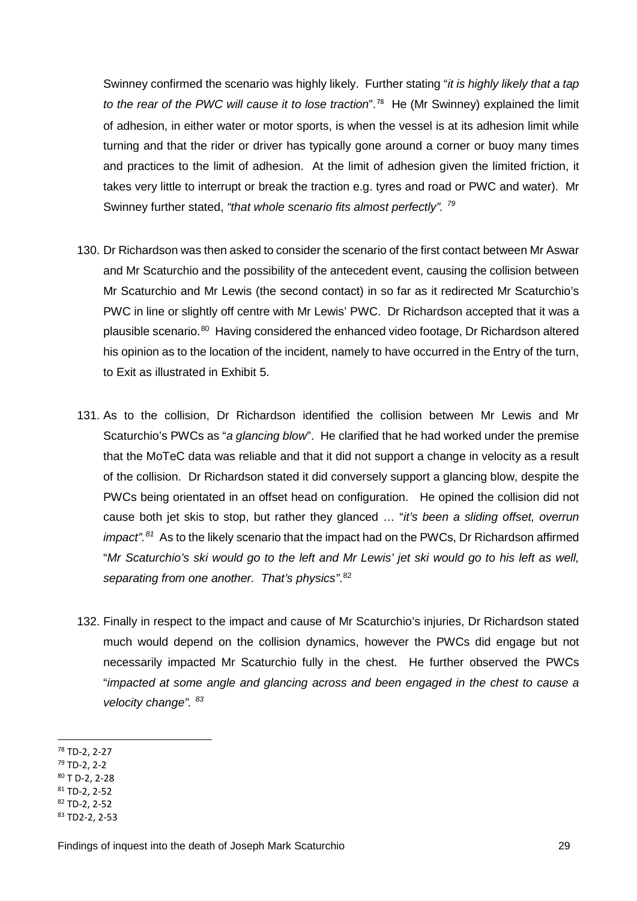Swinney confirmed the scenario was highly likely. Further stating "*it is highly likely that a tap to the rear of the PWC will cause it to lose traction*".[78](#page-29-0) He (Mr Swinney) explained the limit of adhesion, in either water or motor sports, is when the vessel is at its adhesion limit while turning and that the rider or driver has typically gone around a corner or buoy many times and practices to the limit of adhesion. At the limit of adhesion given the limited friction, it takes very little to interrupt or break the traction e.g. tyres and road or PWC and water). Mr Swinney further stated, *"that whole scenario fits almost perfectly". [79](#page-29-1)*

- 130. Dr Richardson was then asked to consider the scenario of the first contact between Mr Aswar and Mr Scaturchio and the possibility of the antecedent event, causing the collision between Mr Scaturchio and Mr Lewis (the second contact) in so far as it redirected Mr Scaturchio's PWC in line or slightly off centre with Mr Lewis' PWC. Dr Richardson accepted that it was a plausible scenario.[80](#page-29-2) Having considered the enhanced video footage, Dr Richardson altered his opinion as to the location of the incident, namely to have occurred in the Entry of the turn, to Exit as illustrated in Exhibit 5.
- 131. As to the collision, Dr Richardson identified the collision between Mr Lewis and Mr Scaturchio's PWCs as "*a glancing blow*". He clarified that he had worked under the premise that the MoTeC data was reliable and that it did not support a change in velocity as a result of the collision. Dr Richardson stated it did conversely support a glancing blow, despite the PWCs being orientated in an offset head on configuration. He opined the collision did not cause both jet skis to stop, but rather they glanced … "*it's been a sliding offset, overrun impact".[81](#page-29-3)* As to the likely scenario that the impact had on the PWCs, Dr Richardson affirmed "*Mr Scaturchio's ski would go to the left and Mr Lewis' jet ski would go to his left as well, separating from one another. That's physics"*. [82](#page-29-4)
- 132. Finally in respect to the impact and cause of Mr Scaturchio's injuries, Dr Richardson stated much would depend on the collision dynamics, however the PWCs did engage but not necessarily impacted Mr Scaturchio fully in the chest. He further observed the PWCs "*impacted at some angle and glancing across and been engaged in the chest to cause a velocity change". [83](#page-29-5)*

<span id="page-29-0"></span><sup>78</sup> TD-2, 2-27

<span id="page-29-1"></span><sup>79</sup> TD-2, 2-2

<span id="page-29-2"></span><sup>80</sup> T D-2, 2-28

<span id="page-29-3"></span> $81$  TD-2, 2-52 <sup>82</sup> TD-2, 2-52

<span id="page-29-5"></span><span id="page-29-4"></span><sup>83</sup> TD2-2, 2-53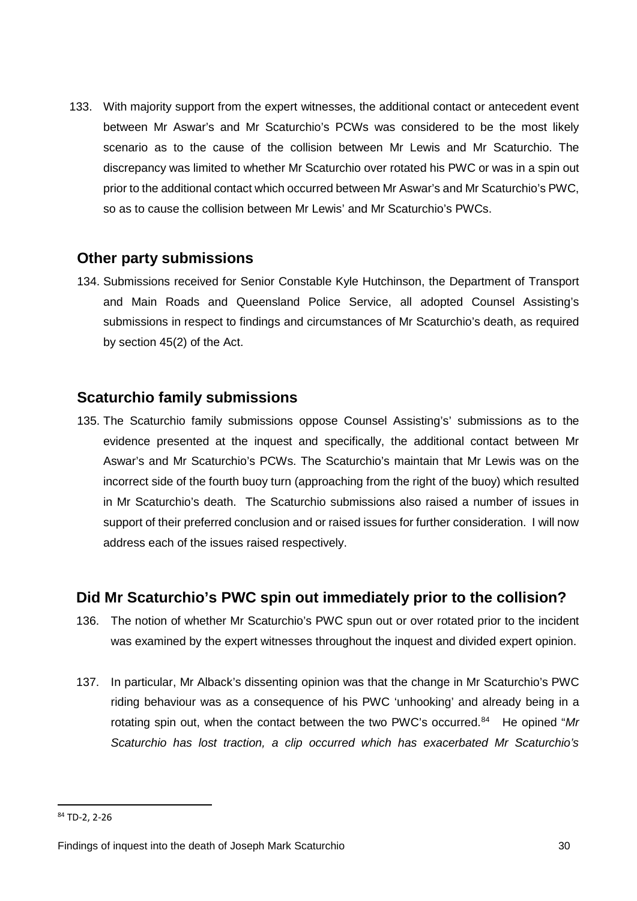133. With majority support from the expert witnesses, the additional contact or antecedent event between Mr Aswar's and Mr Scaturchio's PCWs was considered to be the most likely scenario as to the cause of the collision between Mr Lewis and Mr Scaturchio. The discrepancy was limited to whether Mr Scaturchio over rotated his PWC or was in a spin out prior to the additional contact which occurred between Mr Aswar's and Mr Scaturchio's PWC, so as to cause the collision between Mr Lewis' and Mr Scaturchio's PWCs.

#### <span id="page-30-0"></span>**Other party submissions**

134. Submissions received for Senior Constable Kyle Hutchinson, the Department of Transport and Main Roads and Queensland Police Service, all adopted Counsel Assisting's submissions in respect to findings and circumstances of Mr Scaturchio's death, as required by section 45(2) of the Act.

#### <span id="page-30-1"></span>**Scaturchio family submissions**

135. The Scaturchio family submissions oppose Counsel Assisting's' submissions as to the evidence presented at the inquest and specifically, the additional contact between Mr Aswar's and Mr Scaturchio's PCWs. The Scaturchio's maintain that Mr Lewis was on the incorrect side of the fourth buoy turn (approaching from the right of the buoy) which resulted in Mr Scaturchio's death. The Scaturchio submissions also raised a number of issues in support of their preferred conclusion and or raised issues for further consideration. I will now address each of the issues raised respectively.

#### <span id="page-30-2"></span>**Did Mr Scaturchio's PWC spin out immediately prior to the collision?**

- 136. The notion of whether Mr Scaturchio's PWC spun out or over rotated prior to the incident was examined by the expert witnesses throughout the inquest and divided expert opinion.
- 137. In particular, Mr Alback's dissenting opinion was that the change in Mr Scaturchio's PWC riding behaviour was as a consequence of his PWC 'unhooking' and already being in a rotating spin out, when the contact between the two PWC's occurred.[84](#page-30-3) He opined "*Mr Scaturchio has lost traction, a clip occurred which has exacerbated Mr Scaturchio's*

<u>.</u>

<span id="page-30-3"></span><sup>84</sup> TD-2, 2-26

Findings of inquest into the death of Joseph Mark Scaturchio 30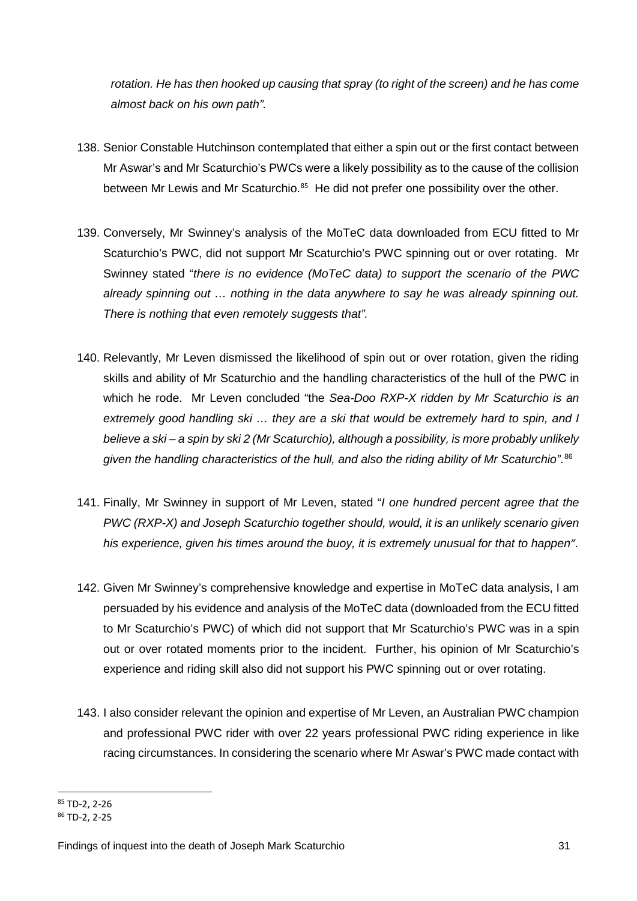*rotation. He has then hooked up causing that spray (to right of the screen) and he has come almost back on his own path".*

- 138. Senior Constable Hutchinson contemplated that either a spin out or the first contact between Mr Aswar's and Mr Scaturchio's PWCs were a likely possibility as to the cause of the collision between Mr Lewis and Mr Scaturchio.<sup>[85](#page-31-0)</sup> He did not prefer one possibility over the other.
- 139. Conversely, Mr Swinney's analysis of the MoTeC data downloaded from ECU fitted to Mr Scaturchio's PWC, did not support Mr Scaturchio's PWC spinning out or over rotating. Mr Swinney stated "*there is no evidence (MoTeC data) to support the scenario of the PWC already spinning out … nothing in the data anywhere to say he was already spinning out. There is nothing that even remotely suggests that".*
- 140. Relevantly, Mr Leven dismissed the likelihood of spin out or over rotation, given the riding skills and ability of Mr Scaturchio and the handling characteristics of the hull of the PWC in which he rode. Mr Leven concluded "the *Sea-Doo RXP-X ridden by Mr Scaturchio is an extremely good handling ski … they are a ski that would be extremely hard to spin, and I believe a ski – a spin by ski 2 (Mr Scaturchio), although a possibility, is more probably unlikely*  given the handling characteristics of the hull, and also the riding ability of Mr Scaturchio". <sup>[86](#page-31-1)</sup>
- 141. Finally, Mr Swinney in support of Mr Leven, stated "*I one hundred percent agree that the PWC (RXP-X) and Joseph Scaturchio together should, would, it is an unlikely scenario given his experience, given his times around the buoy, it is extremely unusual for that to happen".*
- 142. Given Mr Swinney's comprehensive knowledge and expertise in MoTeC data analysis, I am persuaded by his evidence and analysis of the MoTeC data (downloaded from the ECU fitted to Mr Scaturchio's PWC) of which did not support that Mr Scaturchio's PWC was in a spin out or over rotated moments prior to the incident. Further, his opinion of Mr Scaturchio's experience and riding skill also did not support his PWC spinning out or over rotating.
- 143. I also consider relevant the opinion and expertise of Mr Leven, an Australian PWC champion and professional PWC rider with over 22 years professional PWC riding experience in like racing circumstances. In considering the scenario where Mr Aswar's PWC made contact with

<span id="page-31-0"></span><sup>85</sup> TD-2, 2-26

<span id="page-31-1"></span><sup>86</sup> TD-2, 2-25

Findings of inquest into the death of Joseph Mark Scaturchio 31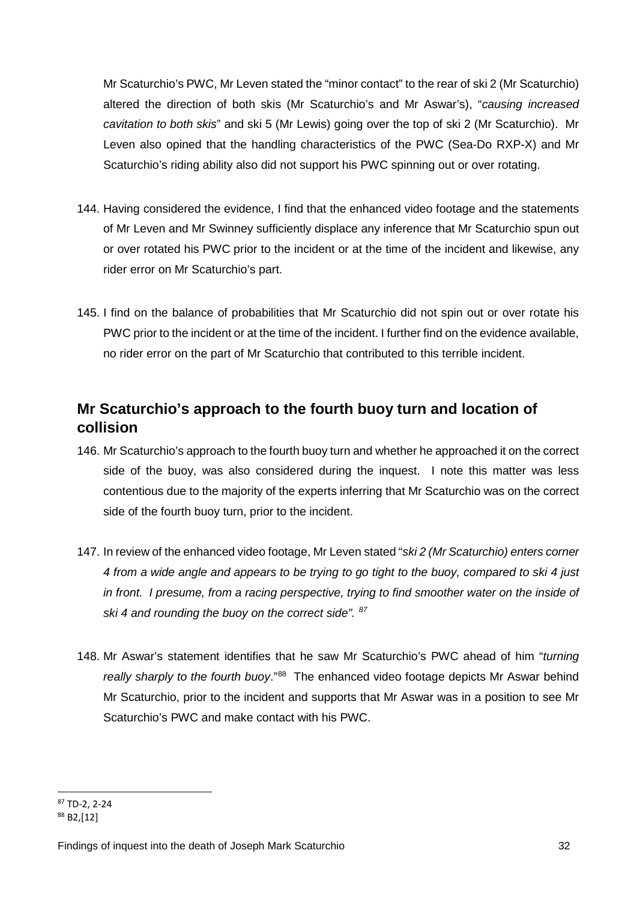Mr Scaturchio's PWC, Mr Leven stated the "minor contact" to the rear of ski 2 (Mr Scaturchio) altered the direction of both skis (Mr Scaturchio's and Mr Aswar's), "*causing increased cavitation to both skis*" and ski 5 (Mr Lewis) going over the top of ski 2 (Mr Scaturchio). Mr Leven also opined that the handling characteristics of the PWC (Sea-Do RXP-X) and Mr Scaturchio's riding ability also did not support his PWC spinning out or over rotating.

- 144. Having considered the evidence, I find that the enhanced video footage and the statements of Mr Leven and Mr Swinney sufficiently displace any inference that Mr Scaturchio spun out or over rotated his PWC prior to the incident or at the time of the incident and likewise, any rider error on Mr Scaturchio's part.
- 145. I find on the balance of probabilities that Mr Scaturchio did not spin out or over rotate his PWC prior to the incident or at the time of the incident. I further find on the evidence available, no rider error on the part of Mr Scaturchio that contributed to this terrible incident.

## <span id="page-32-0"></span>**Mr Scaturchio's approach to the fourth buoy turn and location of collision**

- 146. Mr Scaturchio's approach to the fourth buoy turn and whether he approached it on the correct side of the buoy, was also considered during the inquest. I note this matter was less contentious due to the majority of the experts inferring that Mr Scaturchio was on the correct side of the fourth buoy turn, prior to the incident.
- 147. In review of the enhanced video footage, Mr Leven stated "*ski 2 (Mr Scaturchio) enters corner 4 from a wide angle and appears to be trying to go tight to the buoy, compared to ski 4 just in front. I presume, from a racing perspective, trying to find smoother water on the inside of ski 4 and rounding the buoy on the correct side". [87](#page-32-1)*
- 148. Mr Aswar's statement identifies that he saw Mr Scaturchio's PWC ahead of him "*turning really sharply to the fourth buoy*."[88](#page-32-2) The enhanced video footage depicts Mr Aswar behind Mr Scaturchio, prior to the incident and supports that Mr Aswar was in a position to see Mr Scaturchio's PWC and make contact with his PWC.

<span id="page-32-1"></span><sup>87</sup> TD-2, 2-24

<span id="page-32-2"></span><sup>88</sup> B2,[12]

Findings of inquest into the death of Joseph Mark Scaturchio 32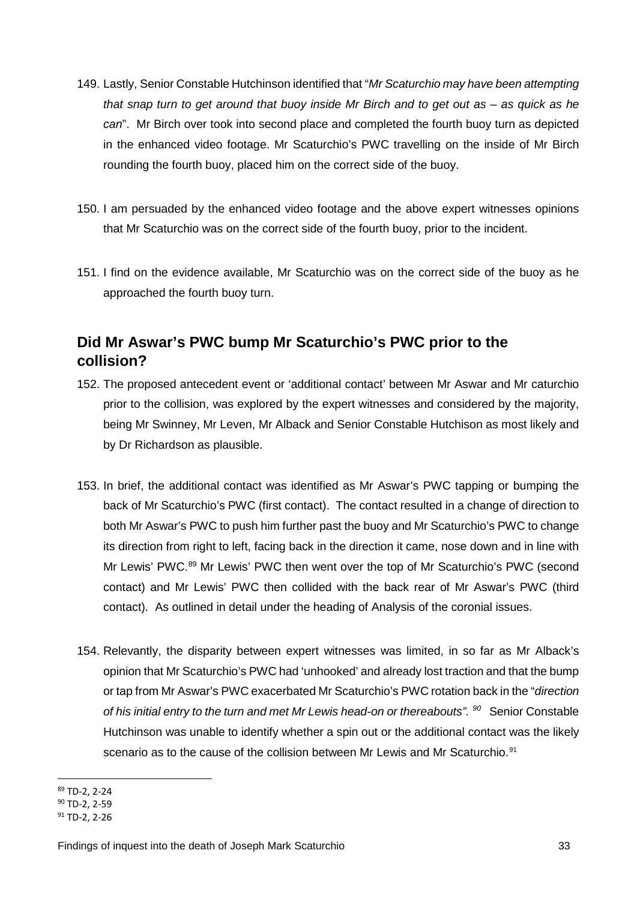- 149. Lastly, Senior Constable Hutchinson identified that "*Mr Scaturchio may have been attempting that snap turn to get around that buoy inside Mr Birch and to get out as – as quick as he can*". Mr Birch over took into second place and completed the fourth buoy turn as depicted in the enhanced video footage. Mr Scaturchio's PWC travelling on the inside of Mr Birch rounding the fourth buoy, placed him on the correct side of the buoy.
- 150. I am persuaded by the enhanced video footage and the above expert witnesses opinions that Mr Scaturchio was on the correct side of the fourth buoy, prior to the incident.
- 151. I find on the evidence available, Mr Scaturchio was on the correct side of the buoy as he approached the fourth buoy turn.

## <span id="page-33-0"></span>**Did Mr Aswar's PWC bump Mr Scaturchio's PWC prior to the collision?**

- 152. The proposed antecedent event or 'additional contact' between Mr Aswar and Mr caturchio prior to the collision, was explored by the expert witnesses and considered by the majority, being Mr Swinney, Mr Leven, Mr Alback and Senior Constable Hutchison as most likely and by Dr Richardson as plausible.
- 153. In brief, the additional contact was identified as Mr Aswar's PWC tapping or bumping the back of Mr Scaturchio's PWC (first contact). The contact resulted in a change of direction to both Mr Aswar's PWC to push him further past the buoy and Mr Scaturchio's PWC to change its direction from right to left, facing back in the direction it came, nose down and in line with Mr Lewis' PWC.<sup>[89](#page-33-1)</sup> Mr Lewis' PWC then went over the top of Mr Scaturchio's PWC (second contact) and Mr Lewis' PWC then collided with the back rear of Mr Aswar's PWC (third contact)*.* As outlined in detail under the heading of Analysis of the coronial issues.
- 154. Relevantly, the disparity between expert witnesses was limited, in so far as Mr Alback's opinion that Mr Scaturchio's PWC had 'unhooked' and already lost traction and that the bump or tap from Mr Aswar's PWC exacerbated Mr Scaturchio's PWC rotation back in the "*direction of his initial entry to the turn and met Mr Lewis head-on or thereabouts". [90](#page-33-2)* Senior Constable Hutchinson was unable to identify whether a spin out or the additional contact was the likely scenario as to the cause of the collision between Mr Lewis and Mr Scaturchio.<sup>[91](#page-33-3)</sup>

<span id="page-33-1"></span><sup>89</sup> TD-2, 2-24 <u>.</u>

<span id="page-33-2"></span><sup>90</sup> TD-2, 2-59

<span id="page-33-3"></span> $91$  TD-2, 2-26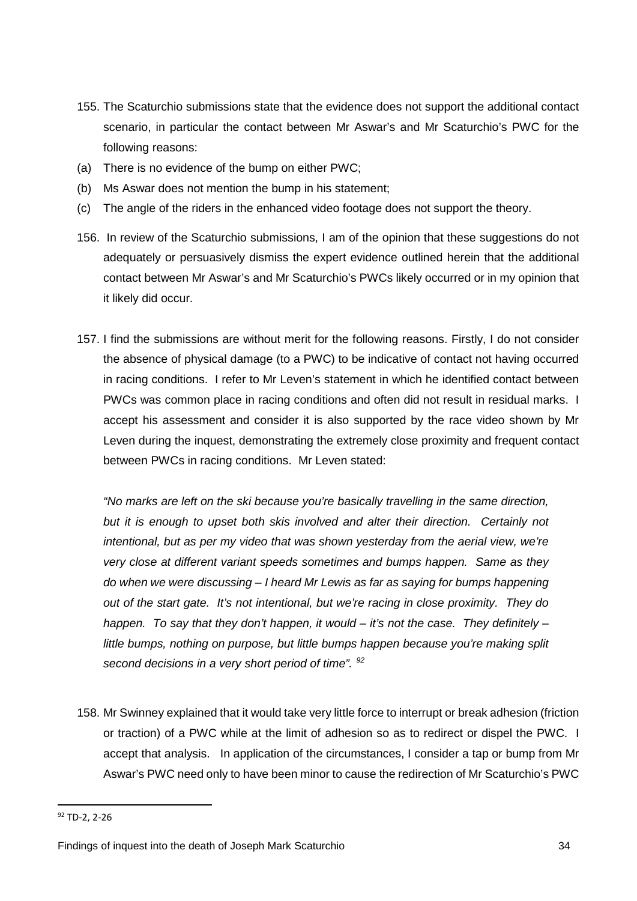- 155. The Scaturchio submissions state that the evidence does not support the additional contact scenario, in particular the contact between Mr Aswar's and Mr Scaturchio's PWC for the following reasons:
- (a) There is no evidence of the bump on either PWC;
- (b) Ms Aswar does not mention the bump in his statement;
- (c) The angle of the riders in the enhanced video footage does not support the theory.
- 156. In review of the Scaturchio submissions, I am of the opinion that these suggestions do not adequately or persuasively dismiss the expert evidence outlined herein that the additional contact between Mr Aswar's and Mr Scaturchio's PWCs likely occurred or in my opinion that it likely did occur.
- 157. I find the submissions are without merit for the following reasons. Firstly, I do not consider the absence of physical damage (to a PWC) to be indicative of contact not having occurred in racing conditions. I refer to Mr Leven's statement in which he identified contact between PWCs was common place in racing conditions and often did not result in residual marks. I accept his assessment and consider it is also supported by the race video shown by Mr Leven during the inquest, demonstrating the extremely close proximity and frequent contact between PWCs in racing conditions. Mr Leven stated:

*"No marks are left on the ski because you're basically travelling in the same direction,*  but it is enough to upset both skis involved and alter their direction. Certainly not *intentional, but as per my video that was shown yesterday from the aerial view, we're very close at different variant speeds sometimes and bumps happen. Same as they do when we were discussing – I heard Mr Lewis as far as saying for bumps happening out of the start gate. It's not intentional, but we're racing in close proximity. They do happen. To say that they don't happen, it would – it's not the case. They definitely – little bumps, nothing on purpose, but little bumps happen because you're making split second decisions in a very short period of time". [92](#page-34-0)*

158. Mr Swinney explained that it would take very little force to interrupt or break adhesion (friction or traction) of a PWC while at the limit of adhesion so as to redirect or dispel the PWC. I accept that analysis. In application of the circumstances, I consider a tap or bump from Mr Aswar's PWC need only to have been minor to cause the redirection of Mr Scaturchio's PWC

<u>.</u>

<span id="page-34-0"></span> $92$  TD-2, 2-26

Findings of inquest into the death of Joseph Mark Scaturchio 34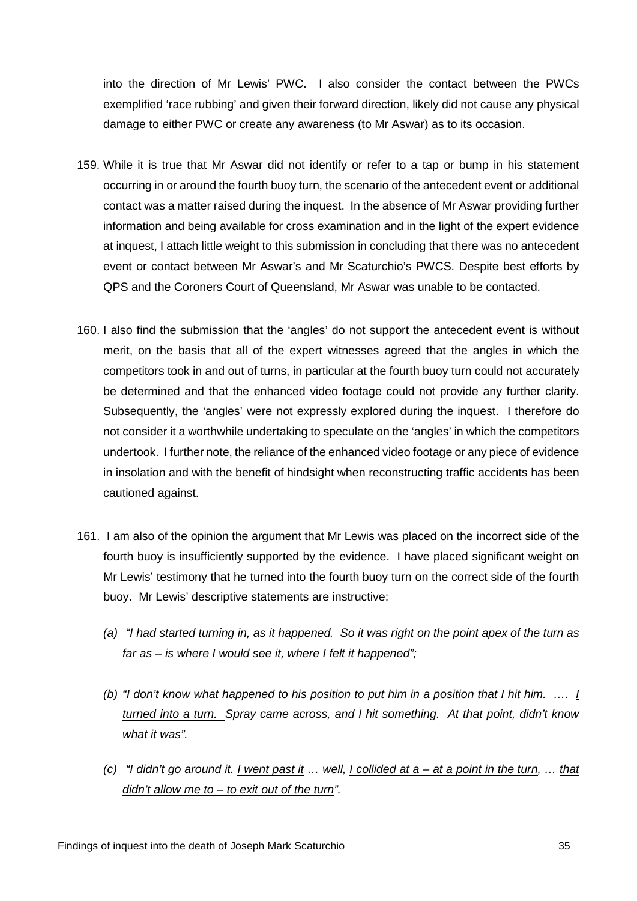into the direction of Mr Lewis' PWC. I also consider the contact between the PWCs exemplified 'race rubbing' and given their forward direction, likely did not cause any physical damage to either PWC or create any awareness (to Mr Aswar) as to its occasion.

- 159. While it is true that Mr Aswar did not identify or refer to a tap or bump in his statement occurring in or around the fourth buoy turn, the scenario of the antecedent event or additional contact was a matter raised during the inquest. In the absence of Mr Aswar providing further information and being available for cross examination and in the light of the expert evidence at inquest, I attach little weight to this submission in concluding that there was no antecedent event or contact between Mr Aswar's and Mr Scaturchio's PWCS. Despite best efforts by QPS and the Coroners Court of Queensland, Mr Aswar was unable to be contacted.
- 160. I also find the submission that the 'angles' do not support the antecedent event is without merit, on the basis that all of the expert witnesses agreed that the angles in which the competitors took in and out of turns, in particular at the fourth buoy turn could not accurately be determined and that the enhanced video footage could not provide any further clarity. Subsequently, the 'angles' were not expressly explored during the inquest. I therefore do not consider it a worthwhile undertaking to speculate on the 'angles' in which the competitors undertook. I further note, the reliance of the enhanced video footage or any piece of evidence in insolation and with the benefit of hindsight when reconstructing traffic accidents has been cautioned against.
- 161. I am also of the opinion the argument that Mr Lewis was placed on the incorrect side of the fourth buoy is insufficiently supported by the evidence. I have placed significant weight on Mr Lewis' testimony that he turned into the fourth buoy turn on the correct side of the fourth buoy. Mr Lewis' descriptive statements are instructive:
	- *(a) "I had started turning in, as it happened. So it was right on the point apex of the turn as far as – is where I would see it, where I felt it happened";*
	- *(b) "I don't know what happened to his position to put him in a position that I hit him. …. I turned into a turn. Spray came across, and I hit something. At that point, didn't know what it was".*
	- *(c) "I didn't go around it. I went past it … well, I collided at a – at a point in the turn, … that didn't allow me to – to exit out of the turn".*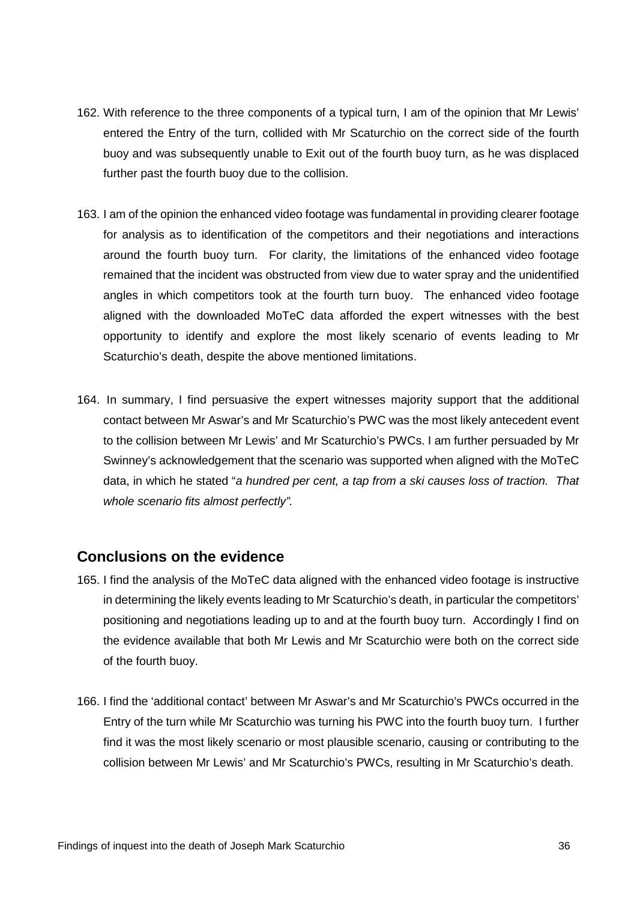- 162. With reference to the three components of a typical turn, I am of the opinion that Mr Lewis' entered the Entry of the turn, collided with Mr Scaturchio on the correct side of the fourth buoy and was subsequently unable to Exit out of the fourth buoy turn, as he was displaced further past the fourth buoy due to the collision.
- 163. I am of the opinion the enhanced video footage was fundamental in providing clearer footage for analysis as to identification of the competitors and their negotiations and interactions around the fourth buoy turn. For clarity, the limitations of the enhanced video footage remained that the incident was obstructed from view due to water spray and the unidentified angles in which competitors took at the fourth turn buoy. The enhanced video footage aligned with the downloaded MoTeC data afforded the expert witnesses with the best opportunity to identify and explore the most likely scenario of events leading to Mr Scaturchio's death, despite the above mentioned limitations.
- 164. In summary, I find persuasive the expert witnesses majority support that the additional contact between Mr Aswar's and Mr Scaturchio's PWC was the most likely antecedent event to the collision between Mr Lewis' and Mr Scaturchio's PWCs. I am further persuaded by Mr Swinney's acknowledgement that the scenario was supported when aligned with the MoTeC data, in which he stated "*a hundred per cent, a tap from a ski causes loss of traction. That whole scenario fits almost perfectly".*

#### <span id="page-36-0"></span>**Conclusions on the evidence**

- 165. I find the analysis of the MoTeC data aligned with the enhanced video footage is instructive in determining the likely events leading to Mr Scaturchio's death, in particular the competitors' positioning and negotiations leading up to and at the fourth buoy turn. Accordingly I find on the evidence available that both Mr Lewis and Mr Scaturchio were both on the correct side of the fourth buoy.
- 166. I find the 'additional contact' between Mr Aswar's and Mr Scaturchio's PWCs occurred in the Entry of the turn while Mr Scaturchio was turning his PWC into the fourth buoy turn. I further find it was the most likely scenario or most plausible scenario, causing or contributing to the collision between Mr Lewis' and Mr Scaturchio's PWCs, resulting in Mr Scaturchio's death.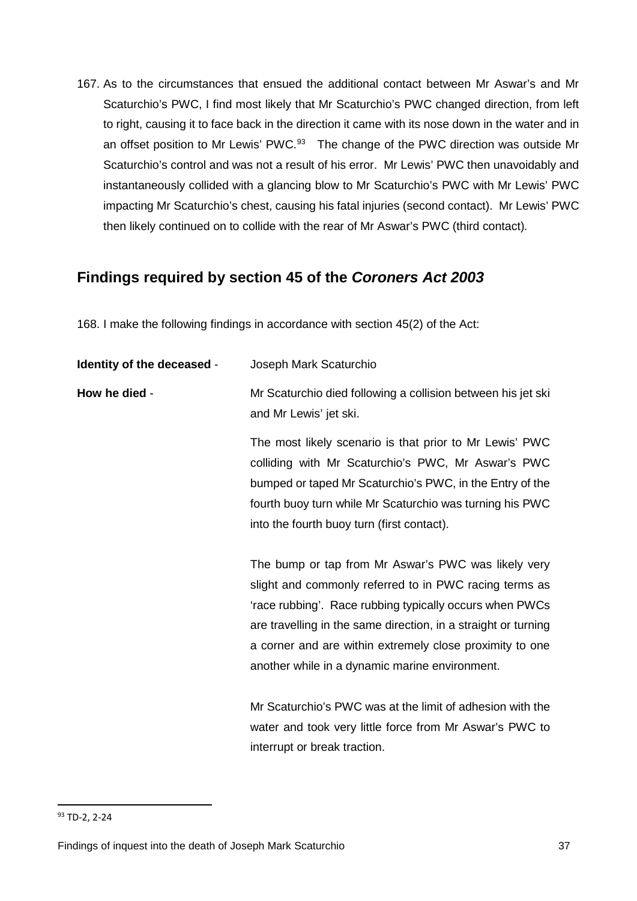167. As to the circumstances that ensued the additional contact between Mr Aswar's and Mr Scaturchio's PWC, I find most likely that Mr Scaturchio's PWC changed direction, from left to right, causing it to face back in the direction it came with its nose down in the water and in an offset position to Mr Lewis' PWC.<sup>[93](#page-37-1)</sup> The change of the PWC direction was outside Mr Scaturchio's control and was not a result of his error. Mr Lewis' PWC then unavoidably and instantaneously collided with a glancing blow to Mr Scaturchio's PWC with Mr Lewis' PWC impacting Mr Scaturchio's chest, causing his fatal injuries (second contact). Mr Lewis' PWC then likely continued on to collide with the rear of Mr Aswar's PWC (third contact)*.* 

## <span id="page-37-0"></span>**Findings required by section 45 of the** *Coroners Act 2003*

168. I make the following findings in accordance with section 45(2) of the Act:

| Identity of the deceased - | Joseph Mark Scaturchio                                                                                                                                                                                                                                                                                                                                   |
|----------------------------|----------------------------------------------------------------------------------------------------------------------------------------------------------------------------------------------------------------------------------------------------------------------------------------------------------------------------------------------------------|
| How he died -              | Mr Scaturchio died following a collision between his jet ski<br>and Mr Lewis' jet ski.                                                                                                                                                                                                                                                                   |
|                            | The most likely scenario is that prior to Mr Lewis' PWC<br>colliding with Mr Scaturchio's PWC, Mr Aswar's PWC<br>bumped or taped Mr Scaturchio's PWC, in the Entry of the<br>fourth buoy turn while Mr Scaturchio was turning his PWC<br>into the fourth buoy turn (first contact).                                                                      |
|                            | The bump or tap from Mr Aswar's PWC was likely very<br>slight and commonly referred to in PWC racing terms as<br>'race rubbing'. Race rubbing typically occurs when PWCs<br>are travelling in the same direction, in a straight or turning<br>a corner and are within extremely close proximity to one<br>another while in a dynamic marine environment. |
|                            | Mr Scaturchio's PWC was at the limit of adhesion with the<br>water and took very little force from Mr Aswar's PWC to<br>interrupt or break traction.                                                                                                                                                                                                     |

<u>.</u>

<span id="page-37-1"></span><sup>93</sup> TD-2, 2-24

Findings of inquest into the death of Joseph Mark Scaturchio 37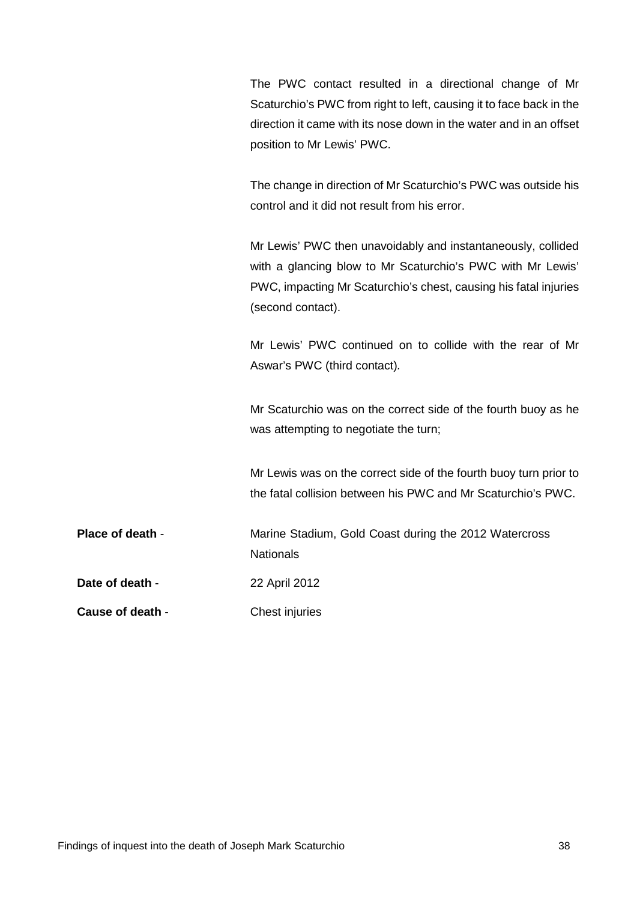The PWC contact resulted in a directional change of Mr Scaturchio's PWC from right to left, causing it to face back in the direction it came with its nose down in the water and in an offset position to Mr Lewis' PWC.

The change in direction of Mr Scaturchio's PWC was outside his control and it did not result from his error.

Mr Lewis' PWC then unavoidably and instantaneously, collided with a glancing blow to Mr Scaturchio's PWC with Mr Lewis' PWC, impacting Mr Scaturchio's chest, causing his fatal injuries (second contact).

Mr Lewis' PWC continued on to collide with the rear of Mr Aswar's PWC (third contact)*.* 

Mr Scaturchio was on the correct side of the fourth buoy as he was attempting to negotiate the turn;

Mr Lewis was on the correct side of the fourth buoy turn prior to the fatal collision between his PWC and Mr Scaturchio's PWC.

**Place of death - Marine Stadium, Gold Coast during the 2012 Watercross Nationals Date of death - 22 April 2012** 

**Cause of death - Chest injuries**